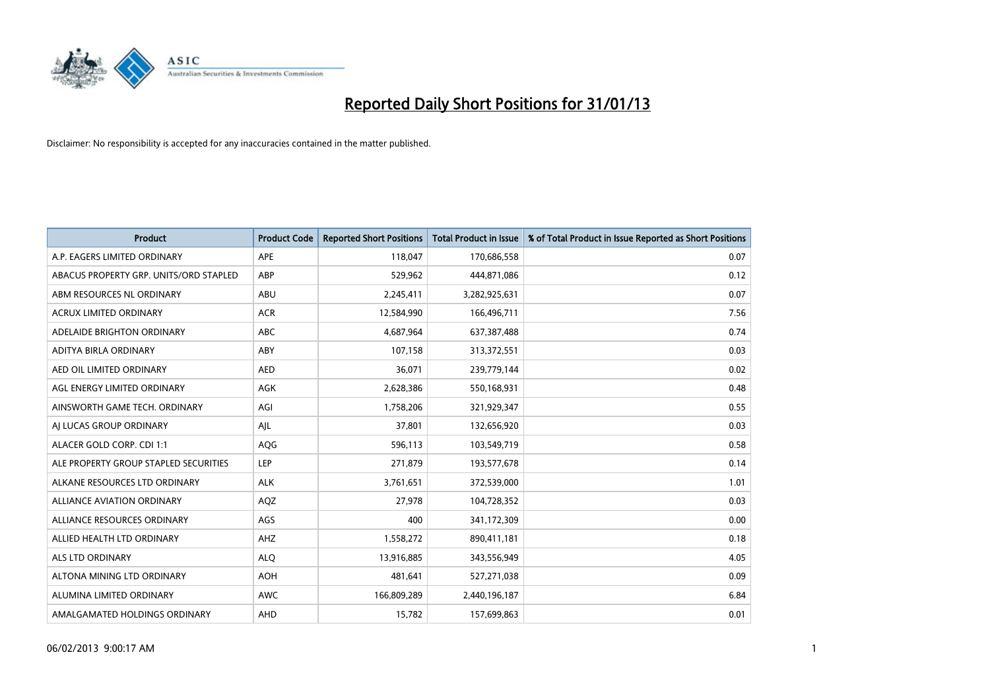

| <b>Product</b>                         | <b>Product Code</b> | <b>Reported Short Positions</b> | <b>Total Product in Issue</b> | % of Total Product in Issue Reported as Short Positions |
|----------------------------------------|---------------------|---------------------------------|-------------------------------|---------------------------------------------------------|
| A.P. EAGERS LIMITED ORDINARY           | APE                 | 118,047                         | 170,686,558                   | 0.07                                                    |
| ABACUS PROPERTY GRP. UNITS/ORD STAPLED | ABP                 | 529,962                         | 444,871,086                   | 0.12                                                    |
| ABM RESOURCES NL ORDINARY              | <b>ABU</b>          | 2,245,411                       | 3,282,925,631                 | 0.07                                                    |
| ACRUX LIMITED ORDINARY                 | <b>ACR</b>          | 12,584,990                      | 166,496,711                   | 7.56                                                    |
| ADELAIDE BRIGHTON ORDINARY             | <b>ABC</b>          | 4,687,964                       | 637,387,488                   | 0.74                                                    |
| ADITYA BIRLA ORDINARY                  | ABY                 | 107,158                         | 313,372,551                   | 0.03                                                    |
| AED OIL LIMITED ORDINARY               | <b>AED</b>          | 36,071                          | 239,779,144                   | 0.02                                                    |
| AGL ENERGY LIMITED ORDINARY            | <b>AGK</b>          | 2,628,386                       | 550,168,931                   | 0.48                                                    |
| AINSWORTH GAME TECH. ORDINARY          | AGI                 | 1,758,206                       | 321,929,347                   | 0.55                                                    |
| AI LUCAS GROUP ORDINARY                | AJL                 | 37,801                          | 132,656,920                   | 0.03                                                    |
| ALACER GOLD CORP. CDI 1:1              | AQG                 | 596,113                         | 103,549,719                   | 0.58                                                    |
| ALE PROPERTY GROUP STAPLED SECURITIES  | LEP                 | 271,879                         | 193,577,678                   | 0.14                                                    |
| ALKANE RESOURCES LTD ORDINARY          | ALK                 | 3,761,651                       | 372,539,000                   | 1.01                                                    |
| <b>ALLIANCE AVIATION ORDINARY</b>      | AQZ                 | 27,978                          | 104,728,352                   | 0.03                                                    |
| ALLIANCE RESOURCES ORDINARY            | AGS                 | 400                             | 341,172,309                   | 0.00                                                    |
| ALLIED HEALTH LTD ORDINARY             | AHZ                 | 1,558,272                       | 890,411,181                   | 0.18                                                    |
| <b>ALS LTD ORDINARY</b>                | <b>ALO</b>          | 13,916,885                      | 343,556,949                   | 4.05                                                    |
| ALTONA MINING LTD ORDINARY             | <b>AOH</b>          | 481,641                         | 527,271,038                   | 0.09                                                    |
| ALUMINA LIMITED ORDINARY               | <b>AWC</b>          | 166,809,289                     | 2,440,196,187                 | 6.84                                                    |
| AMALGAMATED HOLDINGS ORDINARY          | <b>AHD</b>          | 15,782                          | 157,699,863                   | 0.01                                                    |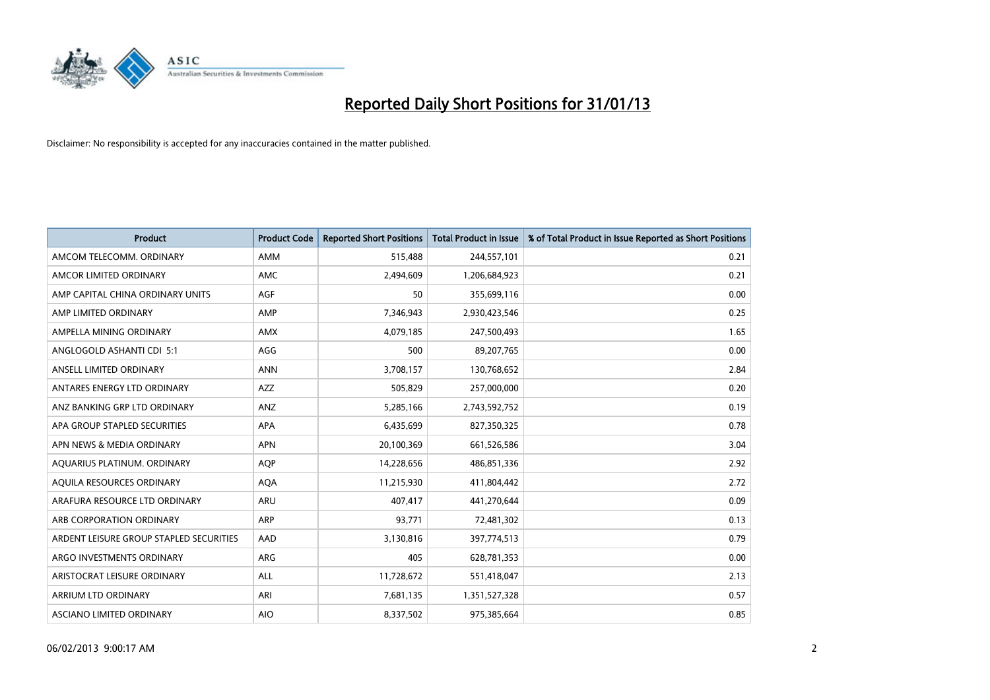

| <b>Product</b>                          | <b>Product Code</b> | <b>Reported Short Positions</b> | <b>Total Product in Issue</b> | % of Total Product in Issue Reported as Short Positions |
|-----------------------------------------|---------------------|---------------------------------|-------------------------------|---------------------------------------------------------|
| AMCOM TELECOMM, ORDINARY                | <b>AMM</b>          | 515,488                         | 244,557,101                   | 0.21                                                    |
| AMCOR LIMITED ORDINARY                  | <b>AMC</b>          | 2,494,609                       | 1,206,684,923                 | 0.21                                                    |
| AMP CAPITAL CHINA ORDINARY UNITS        | AGF                 | 50                              | 355,699,116                   | 0.00                                                    |
| AMP LIMITED ORDINARY                    | AMP                 | 7,346,943                       | 2,930,423,546                 | 0.25                                                    |
| AMPELLA MINING ORDINARY                 | <b>AMX</b>          | 4,079,185                       | 247,500,493                   | 1.65                                                    |
| ANGLOGOLD ASHANTI CDI 5:1               | AGG                 | 500                             | 89,207,765                    | 0.00                                                    |
| ANSELL LIMITED ORDINARY                 | <b>ANN</b>          | 3,708,157                       | 130,768,652                   | 2.84                                                    |
| ANTARES ENERGY LTD ORDINARY             | <b>AZZ</b>          | 505,829                         | 257,000,000                   | 0.20                                                    |
| ANZ BANKING GRP LTD ORDINARY            | ANZ                 | 5,285,166                       | 2,743,592,752                 | 0.19                                                    |
| APA GROUP STAPLED SECURITIES            | <b>APA</b>          | 6,435,699                       | 827,350,325                   | 0.78                                                    |
| APN NEWS & MEDIA ORDINARY               | <b>APN</b>          | 20,100,369                      | 661,526,586                   | 3.04                                                    |
| AQUARIUS PLATINUM. ORDINARY             | <b>AOP</b>          | 14,228,656                      | 486,851,336                   | 2.92                                                    |
| AQUILA RESOURCES ORDINARY               | <b>AQA</b>          | 11,215,930                      | 411,804,442                   | 2.72                                                    |
| ARAFURA RESOURCE LTD ORDINARY           | <b>ARU</b>          | 407.417                         | 441,270,644                   | 0.09                                                    |
| ARB CORPORATION ORDINARY                | ARP                 | 93,771                          | 72,481,302                    | 0.13                                                    |
| ARDENT LEISURE GROUP STAPLED SECURITIES | AAD                 | 3,130,816                       | 397,774,513                   | 0.79                                                    |
| ARGO INVESTMENTS ORDINARY               | ARG                 | 405                             | 628,781,353                   | 0.00                                                    |
| ARISTOCRAT LEISURE ORDINARY             | <b>ALL</b>          | 11,728,672                      | 551,418,047                   | 2.13                                                    |
| <b>ARRIUM LTD ORDINARY</b>              | ARI                 | 7,681,135                       | 1,351,527,328                 | 0.57                                                    |
| ASCIANO LIMITED ORDINARY                | <b>AIO</b>          | 8,337,502                       | 975,385,664                   | 0.85                                                    |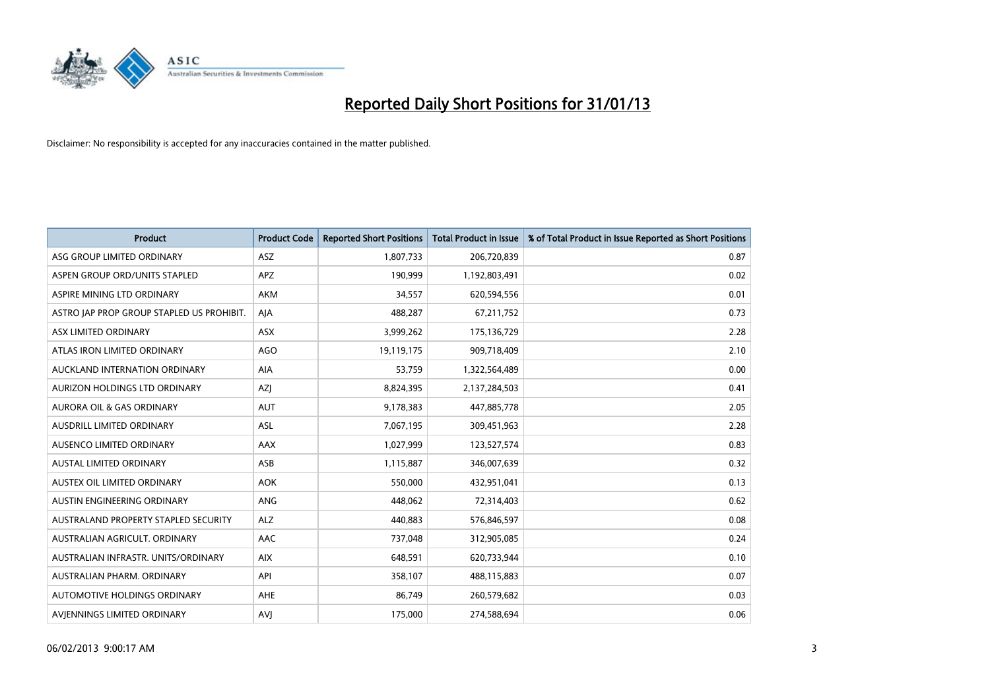

| <b>Product</b>                            | <b>Product Code</b> | <b>Reported Short Positions</b> | <b>Total Product in Issue</b> | % of Total Product in Issue Reported as Short Positions |
|-------------------------------------------|---------------------|---------------------------------|-------------------------------|---------------------------------------------------------|
| ASG GROUP LIMITED ORDINARY                | <b>ASZ</b>          | 1,807,733                       | 206,720,839                   | 0.87                                                    |
| ASPEN GROUP ORD/UNITS STAPLED             | <b>APZ</b>          | 190,999                         | 1,192,803,491                 | 0.02                                                    |
| ASPIRE MINING LTD ORDINARY                | <b>AKM</b>          | 34,557                          | 620,594,556                   | 0.01                                                    |
| ASTRO JAP PROP GROUP STAPLED US PROHIBIT. | AJA                 | 488,287                         | 67,211,752                    | 0.73                                                    |
| ASX LIMITED ORDINARY                      | ASX                 | 3,999,262                       | 175,136,729                   | 2.28                                                    |
| ATLAS IRON LIMITED ORDINARY               | <b>AGO</b>          | 19,119,175                      | 909,718,409                   | 2.10                                                    |
| AUCKLAND INTERNATION ORDINARY             | <b>AIA</b>          | 53,759                          | 1,322,564,489                 | 0.00                                                    |
| AURIZON HOLDINGS LTD ORDINARY             | <b>AZI</b>          | 8,824,395                       | 2,137,284,503                 | 0.41                                                    |
| <b>AURORA OIL &amp; GAS ORDINARY</b>      | <b>AUT</b>          | 9,178,383                       | 447,885,778                   | 2.05                                                    |
| AUSDRILL LIMITED ORDINARY                 | <b>ASL</b>          | 7,067,195                       | 309,451,963                   | 2.28                                                    |
| AUSENCO LIMITED ORDINARY                  | <b>AAX</b>          | 1,027,999                       | 123,527,574                   | 0.83                                                    |
| <b>AUSTAL LIMITED ORDINARY</b>            | ASB                 | 1,115,887                       | 346,007,639                   | 0.32                                                    |
| AUSTEX OIL LIMITED ORDINARY               | <b>AOK</b>          | 550,000                         | 432,951,041                   | 0.13                                                    |
| AUSTIN ENGINEERING ORDINARY               | ANG                 | 448,062                         | 72,314,403                    | 0.62                                                    |
| AUSTRALAND PROPERTY STAPLED SECURITY      | <b>ALZ</b>          | 440,883                         | 576,846,597                   | 0.08                                                    |
| AUSTRALIAN AGRICULT. ORDINARY             | AAC                 | 737,048                         | 312,905,085                   | 0.24                                                    |
| AUSTRALIAN INFRASTR. UNITS/ORDINARY       | <b>AIX</b>          | 648,591                         | 620,733,944                   | 0.10                                                    |
| AUSTRALIAN PHARM. ORDINARY                | API                 | 358,107                         | 488,115,883                   | 0.07                                                    |
| AUTOMOTIVE HOLDINGS ORDINARY              | <b>AHE</b>          | 86,749                          | 260,579,682                   | 0.03                                                    |
| AVIENNINGS LIMITED ORDINARY               | <b>AVI</b>          | 175,000                         | 274,588,694                   | 0.06                                                    |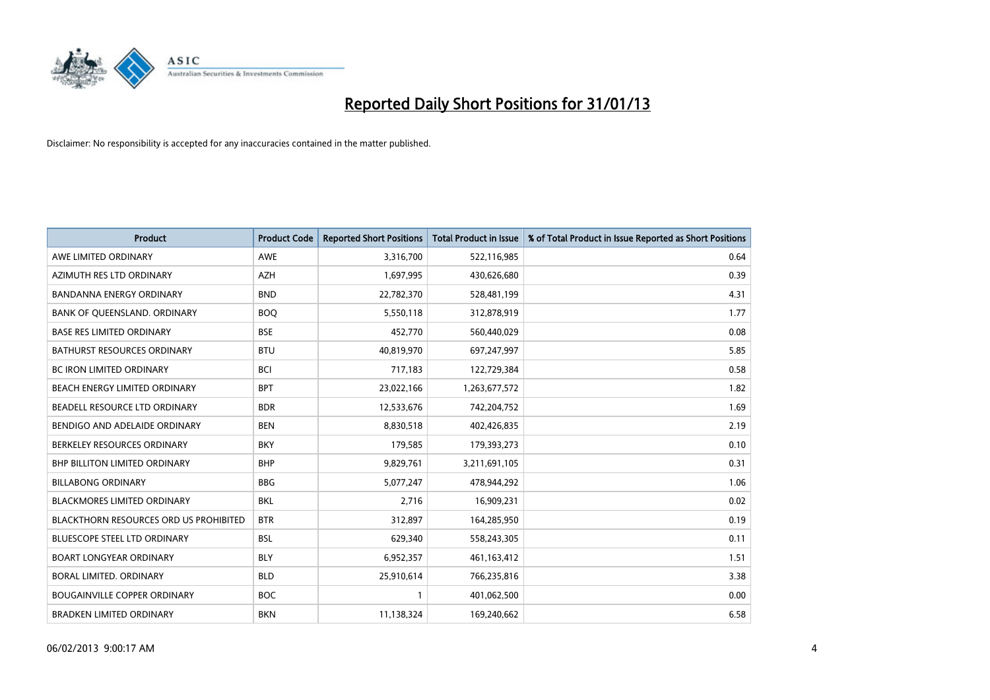

| <b>Product</b>                                | <b>Product Code</b> | <b>Reported Short Positions</b> | <b>Total Product in Issue</b> | % of Total Product in Issue Reported as Short Positions |
|-----------------------------------------------|---------------------|---------------------------------|-------------------------------|---------------------------------------------------------|
| AWE LIMITED ORDINARY                          | <b>AWE</b>          | 3,316,700                       | 522,116,985                   | 0.64                                                    |
| AZIMUTH RES LTD ORDINARY                      | <b>AZH</b>          | 1,697,995                       | 430,626,680                   | 0.39                                                    |
| <b>BANDANNA ENERGY ORDINARY</b>               | <b>BND</b>          | 22,782,370                      | 528,481,199                   | 4.31                                                    |
| BANK OF QUEENSLAND. ORDINARY                  | <b>BOQ</b>          | 5,550,118                       | 312,878,919                   | 1.77                                                    |
| <b>BASE RES LIMITED ORDINARY</b>              | <b>BSE</b>          | 452,770                         | 560,440,029                   | 0.08                                                    |
| <b>BATHURST RESOURCES ORDINARY</b>            | <b>BTU</b>          | 40,819,970                      | 697,247,997                   | 5.85                                                    |
| <b>BC IRON LIMITED ORDINARY</b>               | <b>BCI</b>          | 717,183                         | 122,729,384                   | 0.58                                                    |
| BEACH ENERGY LIMITED ORDINARY                 | <b>BPT</b>          | 23,022,166                      | 1,263,677,572                 | 1.82                                                    |
| BEADELL RESOURCE LTD ORDINARY                 | <b>BDR</b>          | 12,533,676                      | 742,204,752                   | 1.69                                                    |
| BENDIGO AND ADELAIDE ORDINARY                 | <b>BEN</b>          | 8,830,518                       | 402,426,835                   | 2.19                                                    |
| BERKELEY RESOURCES ORDINARY                   | <b>BKY</b>          | 179,585                         | 179,393,273                   | 0.10                                                    |
| <b>BHP BILLITON LIMITED ORDINARY</b>          | <b>BHP</b>          | 9,829,761                       | 3,211,691,105                 | 0.31                                                    |
| <b>BILLABONG ORDINARY</b>                     | <b>BBG</b>          | 5,077,247                       | 478,944,292                   | 1.06                                                    |
| <b>BLACKMORES LIMITED ORDINARY</b>            | <b>BKL</b>          | 2,716                           | 16,909,231                    | 0.02                                                    |
| <b>BLACKTHORN RESOURCES ORD US PROHIBITED</b> | <b>BTR</b>          | 312,897                         | 164,285,950                   | 0.19                                                    |
| BLUESCOPE STEEL LTD ORDINARY                  | <b>BSL</b>          | 629,340                         | 558,243,305                   | 0.11                                                    |
| <b>BOART LONGYEAR ORDINARY</b>                | <b>BLY</b>          | 6,952,357                       | 461,163,412                   | 1.51                                                    |
| BORAL LIMITED. ORDINARY                       | <b>BLD</b>          | 25,910,614                      | 766,235,816                   | 3.38                                                    |
| <b>BOUGAINVILLE COPPER ORDINARY</b>           | <b>BOC</b>          |                                 | 401,062,500                   | 0.00                                                    |
| <b>BRADKEN LIMITED ORDINARY</b>               | <b>BKN</b>          | 11,138,324                      | 169,240,662                   | 6.58                                                    |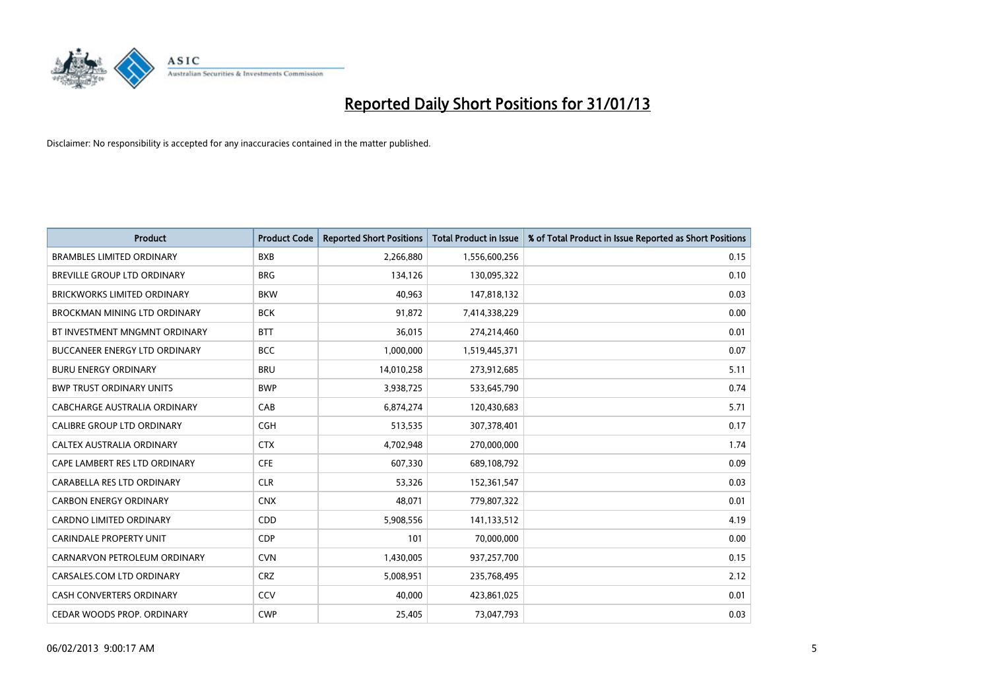

| <b>Product</b>                       | <b>Product Code</b> | <b>Reported Short Positions</b> | <b>Total Product in Issue</b> | % of Total Product in Issue Reported as Short Positions |
|--------------------------------------|---------------------|---------------------------------|-------------------------------|---------------------------------------------------------|
| <b>BRAMBLES LIMITED ORDINARY</b>     | <b>BXB</b>          | 2,266,880                       | 1,556,600,256                 | 0.15                                                    |
| BREVILLE GROUP LTD ORDINARY          | <b>BRG</b>          | 134,126                         | 130,095,322                   | 0.10                                                    |
| <b>BRICKWORKS LIMITED ORDINARY</b>   | <b>BKW</b>          | 40,963                          | 147,818,132                   | 0.03                                                    |
| BROCKMAN MINING LTD ORDINARY         | <b>BCK</b>          | 91,872                          | 7,414,338,229                 | 0.00                                                    |
| BT INVESTMENT MNGMNT ORDINARY        | <b>BTT</b>          | 36,015                          | 274,214,460                   | 0.01                                                    |
| <b>BUCCANEER ENERGY LTD ORDINARY</b> | <b>BCC</b>          | 1,000,000                       | 1,519,445,371                 | 0.07                                                    |
| <b>BURU ENERGY ORDINARY</b>          | <b>BRU</b>          | 14,010,258                      | 273,912,685                   | 5.11                                                    |
| <b>BWP TRUST ORDINARY UNITS</b>      | <b>BWP</b>          | 3,938,725                       | 533,645,790                   | 0.74                                                    |
| CABCHARGE AUSTRALIA ORDINARY         | CAB                 | 6,874,274                       | 120,430,683                   | 5.71                                                    |
| <b>CALIBRE GROUP LTD ORDINARY</b>    | <b>CGH</b>          | 513,535                         | 307,378,401                   | 0.17                                                    |
| CALTEX AUSTRALIA ORDINARY            | <b>CTX</b>          | 4,702,948                       | 270,000,000                   | 1.74                                                    |
| CAPE LAMBERT RES LTD ORDINARY        | <b>CFE</b>          | 607,330                         | 689,108,792                   | 0.09                                                    |
| CARABELLA RES LTD ORDINARY           | <b>CLR</b>          | 53,326                          | 152,361,547                   | 0.03                                                    |
| <b>CARBON ENERGY ORDINARY</b>        | <b>CNX</b>          | 48,071                          | 779,807,322                   | 0.01                                                    |
| <b>CARDNO LIMITED ORDINARY</b>       | <b>CDD</b>          | 5,908,556                       | 141,133,512                   | 4.19                                                    |
| <b>CARINDALE PROPERTY UNIT</b>       | <b>CDP</b>          | 101                             | 70,000,000                    | 0.00                                                    |
| CARNARVON PETROLEUM ORDINARY         | <b>CVN</b>          | 1,430,005                       | 937,257,700                   | 0.15                                                    |
| CARSALES.COM LTD ORDINARY            | <b>CRZ</b>          | 5,008,951                       | 235,768,495                   | 2.12                                                    |
| <b>CASH CONVERTERS ORDINARY</b>      | CCV                 | 40,000                          | 423,861,025                   | 0.01                                                    |
| CEDAR WOODS PROP. ORDINARY           | <b>CWP</b>          | 25,405                          | 73,047,793                    | 0.03                                                    |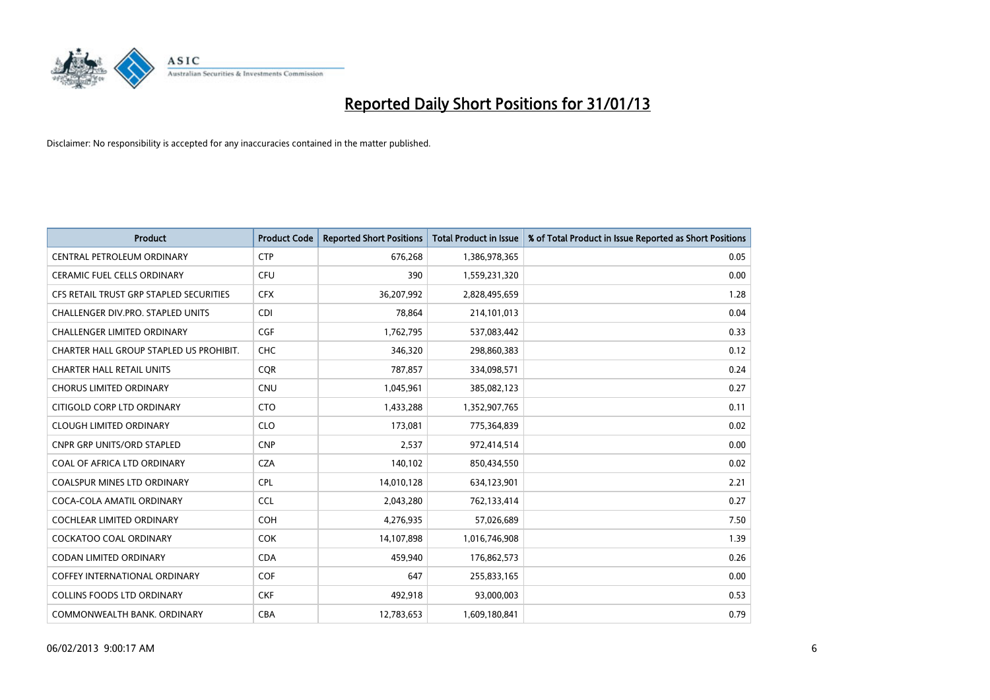

| <b>Product</b>                          | <b>Product Code</b> | <b>Reported Short Positions</b> | <b>Total Product in Issue</b> | % of Total Product in Issue Reported as Short Positions |
|-----------------------------------------|---------------------|---------------------------------|-------------------------------|---------------------------------------------------------|
| <b>CENTRAL PETROLEUM ORDINARY</b>       | <b>CTP</b>          | 676,268                         | 1,386,978,365                 | 0.05                                                    |
| CERAMIC FUEL CELLS ORDINARY             | <b>CFU</b>          | 390                             | 1,559,231,320                 | 0.00                                                    |
| CFS RETAIL TRUST GRP STAPLED SECURITIES | <b>CFX</b>          | 36,207,992                      | 2,828,495,659                 | 1.28                                                    |
| CHALLENGER DIV.PRO. STAPLED UNITS       | <b>CDI</b>          | 78,864                          | 214,101,013                   | 0.04                                                    |
| <b>CHALLENGER LIMITED ORDINARY</b>      | <b>CGF</b>          | 1,762,795                       | 537,083,442                   | 0.33                                                    |
| CHARTER HALL GROUP STAPLED US PROHIBIT. | <b>CHC</b>          | 346,320                         | 298,860,383                   | 0.12                                                    |
| <b>CHARTER HALL RETAIL UNITS</b>        | <b>COR</b>          | 787,857                         | 334,098,571                   | 0.24                                                    |
| <b>CHORUS LIMITED ORDINARY</b>          | <b>CNU</b>          | 1,045,961                       | 385,082,123                   | 0.27                                                    |
| CITIGOLD CORP LTD ORDINARY              | <b>CTO</b>          | 1,433,288                       | 1,352,907,765                 | 0.11                                                    |
| <b>CLOUGH LIMITED ORDINARY</b>          | <b>CLO</b>          | 173,081                         | 775,364,839                   | 0.02                                                    |
| <b>CNPR GRP UNITS/ORD STAPLED</b>       | <b>CNP</b>          | 2,537                           | 972,414,514                   | 0.00                                                    |
| <b>COAL OF AFRICA LTD ORDINARY</b>      | <b>CZA</b>          | 140,102                         | 850,434,550                   | 0.02                                                    |
| COALSPUR MINES LTD ORDINARY             | <b>CPL</b>          | 14,010,128                      | 634,123,901                   | 2.21                                                    |
| COCA-COLA AMATIL ORDINARY               | <b>CCL</b>          | 2,043,280                       | 762,133,414                   | 0.27                                                    |
| <b>COCHLEAR LIMITED ORDINARY</b>        | COH                 | 4,276,935                       | 57,026,689                    | 7.50                                                    |
| COCKATOO COAL ORDINARY                  | <b>COK</b>          | 14,107,898                      | 1,016,746,908                 | 1.39                                                    |
| CODAN LIMITED ORDINARY                  | <b>CDA</b>          | 459,940                         | 176,862,573                   | 0.26                                                    |
| <b>COFFEY INTERNATIONAL ORDINARY</b>    | <b>COF</b>          | 647                             | 255,833,165                   | 0.00                                                    |
| <b>COLLINS FOODS LTD ORDINARY</b>       | <b>CKF</b>          | 492,918                         | 93,000,003                    | 0.53                                                    |
| COMMONWEALTH BANK, ORDINARY             | <b>CBA</b>          | 12,783,653                      | 1,609,180,841                 | 0.79                                                    |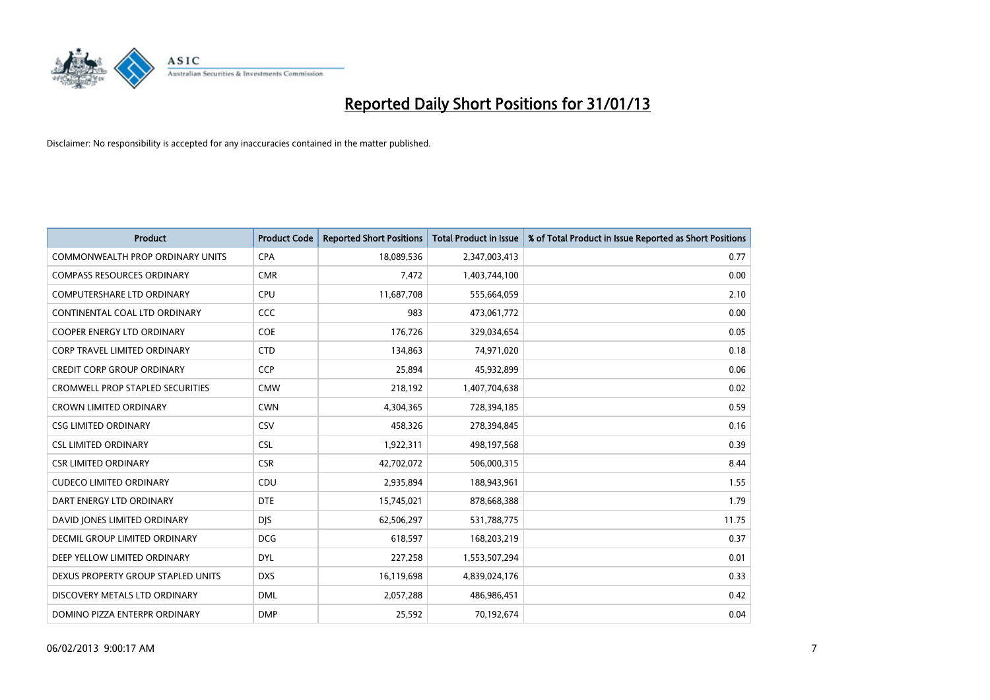

| <b>Product</b>                          | <b>Product Code</b> | <b>Reported Short Positions</b> | <b>Total Product in Issue</b> | % of Total Product in Issue Reported as Short Positions |
|-----------------------------------------|---------------------|---------------------------------|-------------------------------|---------------------------------------------------------|
| <b>COMMONWEALTH PROP ORDINARY UNITS</b> | <b>CPA</b>          | 18,089,536                      | 2,347,003,413                 | 0.77                                                    |
| <b>COMPASS RESOURCES ORDINARY</b>       | <b>CMR</b>          | 7,472                           | 1,403,744,100                 | 0.00                                                    |
| <b>COMPUTERSHARE LTD ORDINARY</b>       | <b>CPU</b>          | 11,687,708                      | 555,664,059                   | 2.10                                                    |
| CONTINENTAL COAL LTD ORDINARY           | CCC                 | 983                             | 473,061,772                   | 0.00                                                    |
| <b>COOPER ENERGY LTD ORDINARY</b>       | COE                 | 176,726                         | 329,034,654                   | 0.05                                                    |
| <b>CORP TRAVEL LIMITED ORDINARY</b>     | <b>CTD</b>          | 134,863                         | 74,971,020                    | 0.18                                                    |
| <b>CREDIT CORP GROUP ORDINARY</b>       | <b>CCP</b>          | 25.894                          | 45,932,899                    | 0.06                                                    |
| <b>CROMWELL PROP STAPLED SECURITIES</b> | <b>CMW</b>          | 218,192                         | 1,407,704,638                 | 0.02                                                    |
| <b>CROWN LIMITED ORDINARY</b>           | <b>CWN</b>          | 4,304,365                       | 728,394,185                   | 0.59                                                    |
| <b>CSG LIMITED ORDINARY</b>             | CSV                 | 458,326                         | 278,394,845                   | 0.16                                                    |
| <b>CSL LIMITED ORDINARY</b>             | <b>CSL</b>          | 1,922,311                       | 498,197,568                   | 0.39                                                    |
| <b>CSR LIMITED ORDINARY</b>             | <b>CSR</b>          | 42,702,072                      | 506,000,315                   | 8.44                                                    |
| <b>CUDECO LIMITED ORDINARY</b>          | CDU                 | 2,935,894                       | 188,943,961                   | 1.55                                                    |
| DART ENERGY LTD ORDINARY                | <b>DTE</b>          | 15,745,021                      | 878,668,388                   | 1.79                                                    |
| DAVID JONES LIMITED ORDINARY            | <b>DIS</b>          | 62,506,297                      | 531,788,775                   | 11.75                                                   |
| DECMIL GROUP LIMITED ORDINARY           | <b>DCG</b>          | 618,597                         | 168,203,219                   | 0.37                                                    |
| DEEP YELLOW LIMITED ORDINARY            | <b>DYL</b>          | 227,258                         | 1,553,507,294                 | 0.01                                                    |
| DEXUS PROPERTY GROUP STAPLED UNITS      | <b>DXS</b>          | 16,119,698                      | 4,839,024,176                 | 0.33                                                    |
| DISCOVERY METALS LTD ORDINARY           | <b>DML</b>          | 2,057,288                       | 486,986,451                   | 0.42                                                    |
| DOMINO PIZZA ENTERPR ORDINARY           | <b>DMP</b>          | 25.592                          | 70,192,674                    | 0.04                                                    |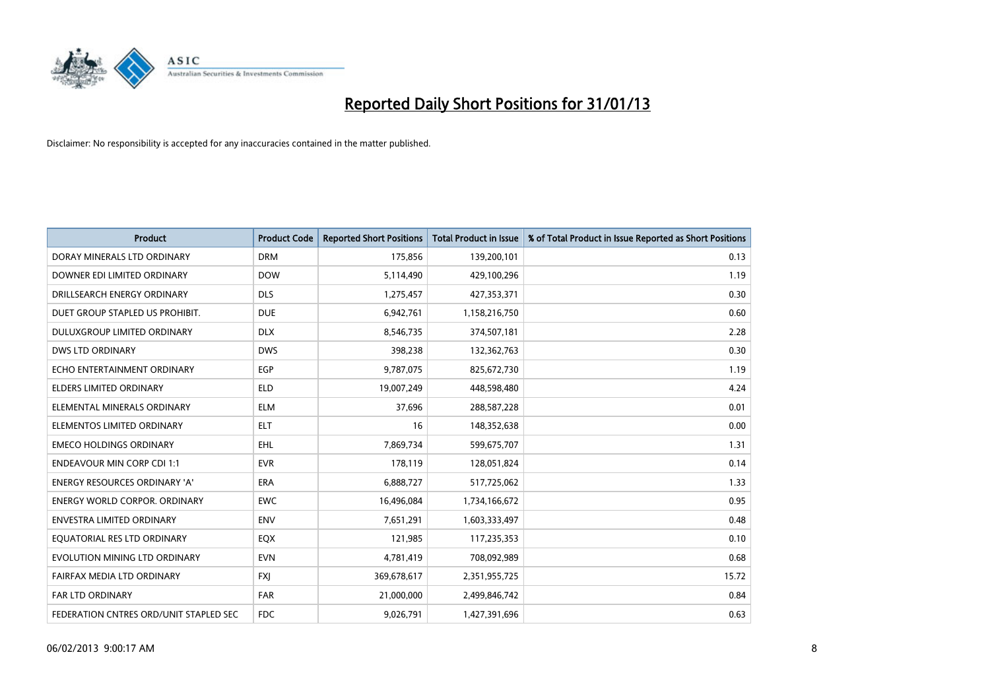

| <b>Product</b>                         | <b>Product Code</b> | <b>Reported Short Positions</b> | <b>Total Product in Issue</b> | % of Total Product in Issue Reported as Short Positions |
|----------------------------------------|---------------------|---------------------------------|-------------------------------|---------------------------------------------------------|
| DORAY MINERALS LTD ORDINARY            | <b>DRM</b>          | 175,856                         | 139,200,101                   | 0.13                                                    |
| DOWNER EDI LIMITED ORDINARY            | <b>DOW</b>          | 5,114,490                       | 429,100,296                   | 1.19                                                    |
| DRILLSEARCH ENERGY ORDINARY            | <b>DLS</b>          | 1,275,457                       | 427,353,371                   | 0.30                                                    |
| DUET GROUP STAPLED US PROHIBIT.        | <b>DUE</b>          | 6,942,761                       | 1,158,216,750                 | 0.60                                                    |
| DULUXGROUP LIMITED ORDINARY            | <b>DLX</b>          | 8,546,735                       | 374,507,181                   | 2.28                                                    |
| DWS LTD ORDINARY                       | <b>DWS</b>          | 398,238                         | 132,362,763                   | 0.30                                                    |
| ECHO ENTERTAINMENT ORDINARY            | <b>EGP</b>          | 9,787,075                       | 825,672,730                   | 1.19                                                    |
| ELDERS LIMITED ORDINARY                | <b>ELD</b>          | 19,007,249                      | 448,598,480                   | 4.24                                                    |
| ELEMENTAL MINERALS ORDINARY            | <b>ELM</b>          | 37,696                          | 288,587,228                   | 0.01                                                    |
| ELEMENTOS LIMITED ORDINARY             | <b>ELT</b>          | 16                              | 148,352,638                   | 0.00                                                    |
| <b>EMECO HOLDINGS ORDINARY</b>         | <b>EHL</b>          | 7,869,734                       | 599,675,707                   | 1.31                                                    |
| <b>ENDEAVOUR MIN CORP CDI 1:1</b>      | <b>EVR</b>          | 178,119                         | 128,051,824                   | 0.14                                                    |
| ENERGY RESOURCES ORDINARY 'A'          | <b>ERA</b>          | 6,888,727                       | 517,725,062                   | 1.33                                                    |
| <b>ENERGY WORLD CORPOR, ORDINARY</b>   | <b>EWC</b>          | 16,496,084                      | 1,734,166,672                 | 0.95                                                    |
| <b>ENVESTRA LIMITED ORDINARY</b>       | <b>ENV</b>          | 7,651,291                       | 1,603,333,497                 | 0.48                                                    |
| EQUATORIAL RES LTD ORDINARY            | EQX                 | 121,985                         | 117,235,353                   | 0.10                                                    |
| EVOLUTION MINING LTD ORDINARY          | <b>EVN</b>          | 4,781,419                       | 708,092,989                   | 0.68                                                    |
| FAIRFAX MEDIA LTD ORDINARY             | <b>FXJ</b>          | 369,678,617                     | 2,351,955,725                 | 15.72                                                   |
| <b>FAR LTD ORDINARY</b>                | <b>FAR</b>          | 21,000,000                      | 2,499,846,742                 | 0.84                                                    |
| FEDERATION CNTRES ORD/UNIT STAPLED SEC | <b>FDC</b>          | 9,026,791                       | 1,427,391,696                 | 0.63                                                    |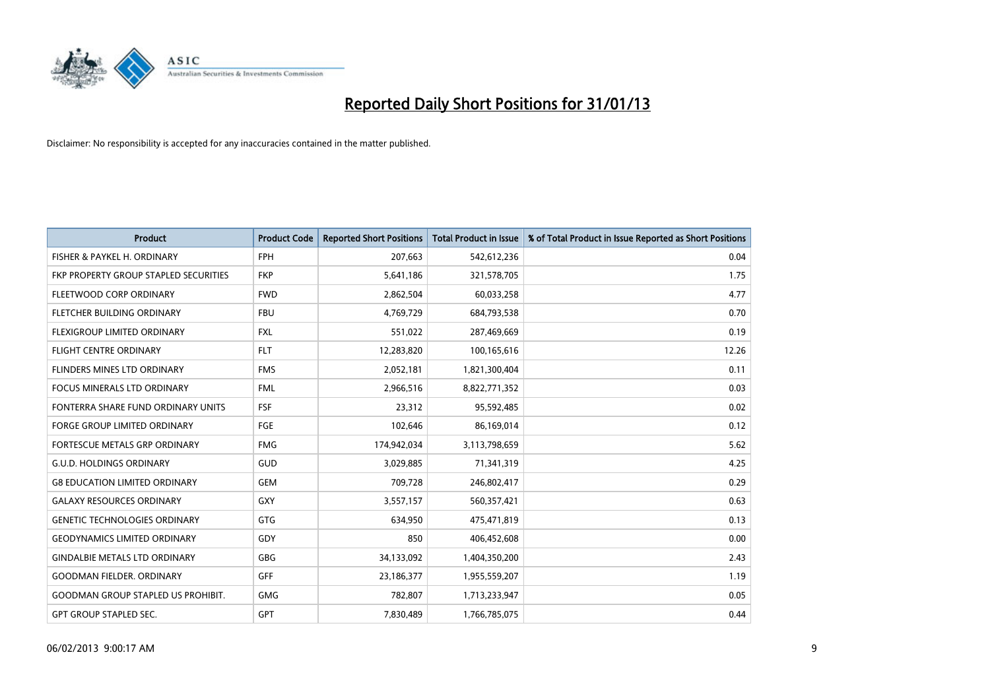

| <b>Product</b>                            | <b>Product Code</b> | <b>Reported Short Positions</b> | <b>Total Product in Issue</b> | % of Total Product in Issue Reported as Short Positions |
|-------------------------------------------|---------------------|---------------------------------|-------------------------------|---------------------------------------------------------|
| FISHER & PAYKEL H. ORDINARY               | <b>FPH</b>          | 207,663                         | 542,612,236                   | 0.04                                                    |
| FKP PROPERTY GROUP STAPLED SECURITIES     | <b>FKP</b>          | 5,641,186                       | 321,578,705                   | 1.75                                                    |
| FLEETWOOD CORP ORDINARY                   | <b>FWD</b>          | 2,862,504                       | 60,033,258                    | 4.77                                                    |
| FLETCHER BUILDING ORDINARY                | <b>FBU</b>          | 4,769,729                       | 684,793,538                   | 0.70                                                    |
| <b>FLEXIGROUP LIMITED ORDINARY</b>        | <b>FXL</b>          | 551,022                         | 287,469,669                   | 0.19                                                    |
| <b>FLIGHT CENTRE ORDINARY</b>             | <b>FLT</b>          | 12,283,820                      | 100,165,616                   | 12.26                                                   |
| <b>FLINDERS MINES LTD ORDINARY</b>        | <b>FMS</b>          | 2,052,181                       | 1,821,300,404                 | 0.11                                                    |
| FOCUS MINERALS LTD ORDINARY               | <b>FML</b>          | 2,966,516                       | 8,822,771,352                 | 0.03                                                    |
| FONTERRA SHARE FUND ORDINARY UNITS        | FSF                 | 23,312                          | 95,592,485                    | 0.02                                                    |
| <b>FORGE GROUP LIMITED ORDINARY</b>       | FGE                 | 102,646                         | 86,169,014                    | 0.12                                                    |
| FORTESCUE METALS GRP ORDINARY             | <b>FMG</b>          | 174,942,034                     | 3,113,798,659                 | 5.62                                                    |
| <b>G.U.D. HOLDINGS ORDINARY</b>           | GUD                 | 3,029,885                       | 71,341,319                    | 4.25                                                    |
| <b>G8 EDUCATION LIMITED ORDINARY</b>      | <b>GEM</b>          | 709,728                         | 246,802,417                   | 0.29                                                    |
| <b>GALAXY RESOURCES ORDINARY</b>          | <b>GXY</b>          | 3,557,157                       | 560,357,421                   | 0.63                                                    |
| <b>GENETIC TECHNOLOGIES ORDINARY</b>      | <b>GTG</b>          | 634,950                         | 475,471,819                   | 0.13                                                    |
| <b>GEODYNAMICS LIMITED ORDINARY</b>       | GDY                 | 850                             | 406,452,608                   | 0.00                                                    |
| <b>GINDALBIE METALS LTD ORDINARY</b>      | <b>GBG</b>          | 34,133,092                      | 1,404,350,200                 | 2.43                                                    |
| <b>GOODMAN FIELDER. ORDINARY</b>          | <b>GFF</b>          | 23,186,377                      | 1,955,559,207                 | 1.19                                                    |
| <b>GOODMAN GROUP STAPLED US PROHIBIT.</b> | <b>GMG</b>          | 782,807                         | 1,713,233,947                 | 0.05                                                    |
| <b>GPT GROUP STAPLED SEC.</b>             | <b>GPT</b>          | 7,830,489                       | 1,766,785,075                 | 0.44                                                    |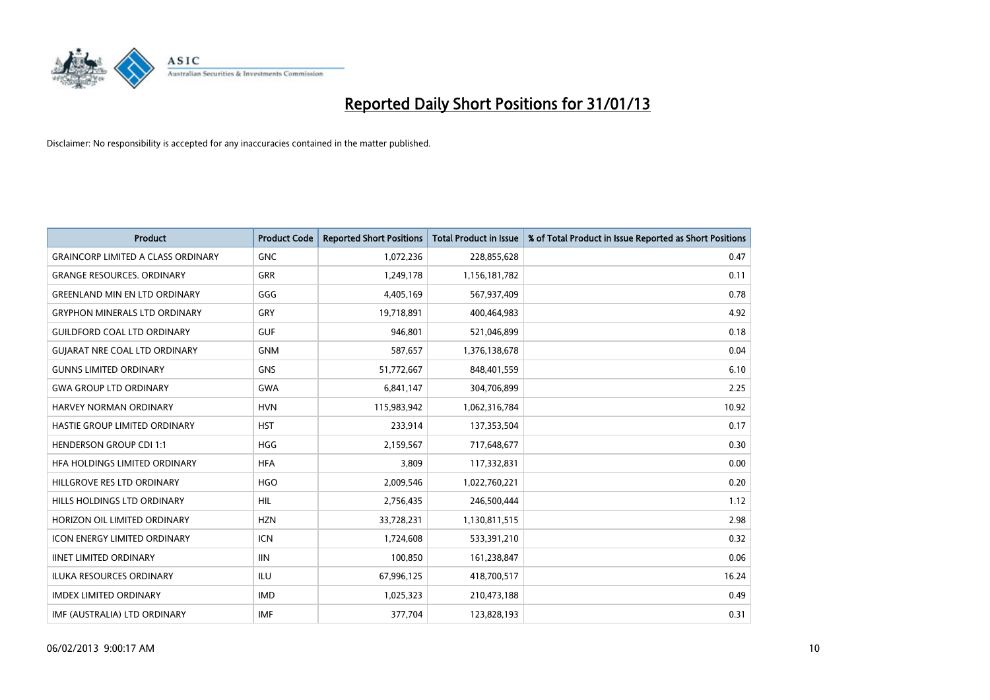

| <b>Product</b>                            | <b>Product Code</b> | <b>Reported Short Positions</b> | <b>Total Product in Issue</b> | % of Total Product in Issue Reported as Short Positions |
|-------------------------------------------|---------------------|---------------------------------|-------------------------------|---------------------------------------------------------|
| <b>GRAINCORP LIMITED A CLASS ORDINARY</b> | <b>GNC</b>          | 1,072,236                       | 228,855,628                   | 0.47                                                    |
| <b>GRANGE RESOURCES. ORDINARY</b>         | <b>GRR</b>          | 1,249,178                       | 1,156,181,782                 | 0.11                                                    |
| <b>GREENLAND MIN EN LTD ORDINARY</b>      | GGG                 | 4,405,169                       | 567,937,409                   | 0.78                                                    |
| <b>GRYPHON MINERALS LTD ORDINARY</b>      | GRY                 | 19,718,891                      | 400,464,983                   | 4.92                                                    |
| <b>GUILDFORD COAL LTD ORDINARY</b>        | <b>GUF</b>          | 946,801                         | 521,046,899                   | 0.18                                                    |
| <b>GUIARAT NRE COAL LTD ORDINARY</b>      | <b>GNM</b>          | 587,657                         | 1,376,138,678                 | 0.04                                                    |
| <b>GUNNS LIMITED ORDINARY</b>             | <b>GNS</b>          | 51,772,667                      | 848,401,559                   | 6.10                                                    |
| <b>GWA GROUP LTD ORDINARY</b>             | <b>GWA</b>          | 6,841,147                       | 304,706,899                   | 2.25                                                    |
| <b>HARVEY NORMAN ORDINARY</b>             | <b>HVN</b>          | 115,983,942                     | 1,062,316,784                 | 10.92                                                   |
| HASTIE GROUP LIMITED ORDINARY             | <b>HST</b>          | 233,914                         | 137,353,504                   | 0.17                                                    |
| <b>HENDERSON GROUP CDI 1:1</b>            | <b>HGG</b>          | 2,159,567                       | 717,648,677                   | 0.30                                                    |
| HFA HOLDINGS LIMITED ORDINARY             | <b>HFA</b>          | 3,809                           | 117,332,831                   | 0.00                                                    |
| HILLGROVE RES LTD ORDINARY                | <b>HGO</b>          | 2,009,546                       | 1,022,760,221                 | 0.20                                                    |
| HILLS HOLDINGS LTD ORDINARY               | <b>HIL</b>          | 2,756,435                       | 246,500,444                   | 1.12                                                    |
| HORIZON OIL LIMITED ORDINARY              | <b>HZN</b>          | 33,728,231                      | 1,130,811,515                 | 2.98                                                    |
| <b>ICON ENERGY LIMITED ORDINARY</b>       | <b>ICN</b>          | 1,724,608                       | 533,391,210                   | 0.32                                                    |
| <b>IINET LIMITED ORDINARY</b>             | <b>IIN</b>          | 100,850                         | 161,238,847                   | 0.06                                                    |
| ILUKA RESOURCES ORDINARY                  | ILU                 | 67,996,125                      | 418,700,517                   | 16.24                                                   |
| <b>IMDEX LIMITED ORDINARY</b>             | <b>IMD</b>          | 1,025,323                       | 210,473,188                   | 0.49                                                    |
| IMF (AUSTRALIA) LTD ORDINARY              | <b>IMF</b>          | 377,704                         | 123,828,193                   | 0.31                                                    |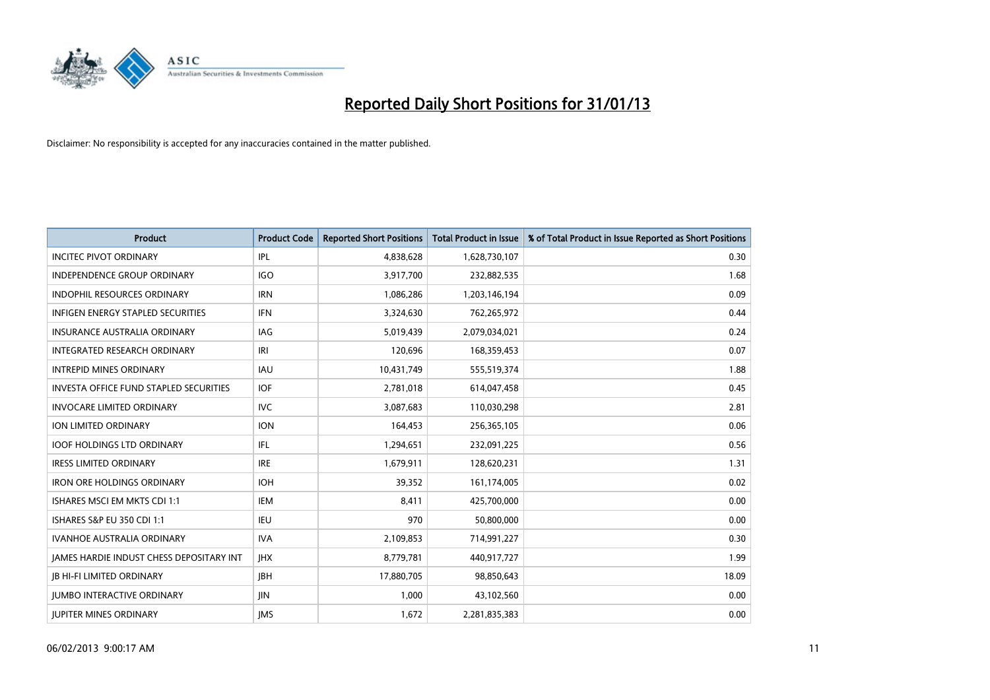

| <b>Product</b>                                | <b>Product Code</b> | <b>Reported Short Positions</b> | <b>Total Product in Issue</b> | % of Total Product in Issue Reported as Short Positions |
|-----------------------------------------------|---------------------|---------------------------------|-------------------------------|---------------------------------------------------------|
| <b>INCITEC PIVOT ORDINARY</b>                 | IPL                 | 4,838,628                       | 1,628,730,107                 | 0.30                                                    |
| <b>INDEPENDENCE GROUP ORDINARY</b>            | <b>IGO</b>          | 3,917,700                       | 232,882,535                   | 1.68                                                    |
| <b>INDOPHIL RESOURCES ORDINARY</b>            | <b>IRN</b>          | 1,086,286                       | 1,203,146,194                 | 0.09                                                    |
| INFIGEN ENERGY STAPLED SECURITIES             | <b>IFN</b>          | 3,324,630                       | 762,265,972                   | 0.44                                                    |
| <b>INSURANCE AUSTRALIA ORDINARY</b>           | IAG                 | 5,019,439                       | 2,079,034,021                 | 0.24                                                    |
| <b>INTEGRATED RESEARCH ORDINARY</b>           | IRI                 | 120,696                         | 168,359,453                   | 0.07                                                    |
| <b>INTREPID MINES ORDINARY</b>                | <b>IAU</b>          | 10,431,749                      | 555,519,374                   | 1.88                                                    |
| <b>INVESTA OFFICE FUND STAPLED SECURITIES</b> | <b>IOF</b>          | 2,781,018                       | 614,047,458                   | 0.45                                                    |
| <b>INVOCARE LIMITED ORDINARY</b>              | <b>IVC</b>          | 3,087,683                       | 110,030,298                   | 2.81                                                    |
| <b>ION LIMITED ORDINARY</b>                   | <b>ION</b>          | 164,453                         | 256,365,105                   | 0.06                                                    |
| <b>IOOF HOLDINGS LTD ORDINARY</b>             | <b>IFL</b>          | 1,294,651                       | 232,091,225                   | 0.56                                                    |
| <b>IRESS LIMITED ORDINARY</b>                 | <b>IRE</b>          | 1,679,911                       | 128,620,231                   | 1.31                                                    |
| <b>IRON ORE HOLDINGS ORDINARY</b>             | <b>IOH</b>          | 39,352                          | 161,174,005                   | 0.02                                                    |
| ISHARES MSCI EM MKTS CDI 1:1                  | <b>IEM</b>          | 8.411                           | 425,700,000                   | 0.00                                                    |
| <b>ISHARES S&amp;P EU 350 CDI 1:1</b>         | <b>IEU</b>          | 970                             | 50,800,000                    | 0.00                                                    |
| <b>IVANHOE AUSTRALIA ORDINARY</b>             | <b>IVA</b>          | 2,109,853                       | 714,991,227                   | 0.30                                                    |
| JAMES HARDIE INDUST CHESS DEPOSITARY INT      | <b>IHX</b>          | 8,779,781                       | 440,917,727                   | 1.99                                                    |
| <b>JB HI-FI LIMITED ORDINARY</b>              | <b>IBH</b>          | 17,880,705                      | 98,850,643                    | 18.09                                                   |
| <b>IUMBO INTERACTIVE ORDINARY</b>             | <b>IIN</b>          | 1,000                           | 43,102,560                    | 0.00                                                    |
| <b>IUPITER MINES ORDINARY</b>                 | <b>IMS</b>          | 1,672                           | 2,281,835,383                 | 0.00                                                    |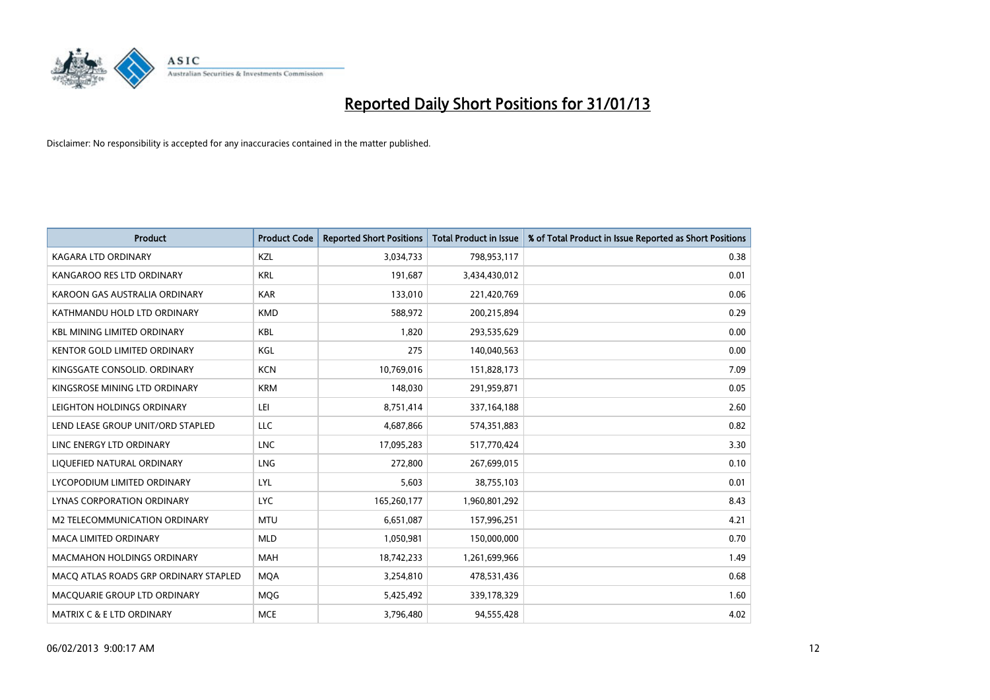

| <b>Product</b>                        | <b>Product Code</b> | <b>Reported Short Positions</b> | <b>Total Product in Issue</b> | % of Total Product in Issue Reported as Short Positions |
|---------------------------------------|---------------------|---------------------------------|-------------------------------|---------------------------------------------------------|
| <b>KAGARA LTD ORDINARY</b>            | <b>KZL</b>          | 3,034,733                       | 798,953,117                   | 0.38                                                    |
| KANGAROO RES LTD ORDINARY             | <b>KRL</b>          | 191,687                         | 3,434,430,012                 | 0.01                                                    |
| KAROON GAS AUSTRALIA ORDINARY         | <b>KAR</b>          | 133,010                         | 221,420,769                   | 0.06                                                    |
| KATHMANDU HOLD LTD ORDINARY           | <b>KMD</b>          | 588,972                         | 200,215,894                   | 0.29                                                    |
| <b>KBL MINING LIMITED ORDINARY</b>    | <b>KBL</b>          | 1,820                           | 293,535,629                   | 0.00                                                    |
| <b>KENTOR GOLD LIMITED ORDINARY</b>   | KGL                 | 275                             | 140,040,563                   | 0.00                                                    |
| KINGSGATE CONSOLID. ORDINARY          | <b>KCN</b>          | 10,769,016                      | 151,828,173                   | 7.09                                                    |
| KINGSROSE MINING LTD ORDINARY         | <b>KRM</b>          | 148,030                         | 291,959,871                   | 0.05                                                    |
| LEIGHTON HOLDINGS ORDINARY            | LEI                 | 8,751,414                       | 337, 164, 188                 | 2.60                                                    |
| LEND LEASE GROUP UNIT/ORD STAPLED     | LLC                 | 4,687,866                       | 574,351,883                   | 0.82                                                    |
| LINC ENERGY LTD ORDINARY              | <b>LNC</b>          | 17,095,283                      | 517,770,424                   | 3.30                                                    |
| LIQUEFIED NATURAL ORDINARY            | <b>LNG</b>          | 272,800                         | 267,699,015                   | 0.10                                                    |
| LYCOPODIUM LIMITED ORDINARY           | LYL                 | 5,603                           | 38,755,103                    | 0.01                                                    |
| LYNAS CORPORATION ORDINARY            | <b>LYC</b>          | 165,260,177                     | 1,960,801,292                 | 8.43                                                    |
| <b>M2 TELECOMMUNICATION ORDINARY</b>  | <b>MTU</b>          | 6,651,087                       | 157,996,251                   | 4.21                                                    |
| MACA LIMITED ORDINARY                 | <b>MLD</b>          | 1,050,981                       | 150,000,000                   | 0.70                                                    |
| MACMAHON HOLDINGS ORDINARY            | <b>MAH</b>          | 18,742,233                      | 1,261,699,966                 | 1.49                                                    |
| MACQ ATLAS ROADS GRP ORDINARY STAPLED | <b>MOA</b>          | 3,254,810                       | 478,531,436                   | 0.68                                                    |
| MACQUARIE GROUP LTD ORDINARY          | <b>MOG</b>          | 5,425,492                       | 339,178,329                   | 1.60                                                    |
| MATRIX C & E LTD ORDINARY             | <b>MCE</b>          | 3,796,480                       | 94,555,428                    | 4.02                                                    |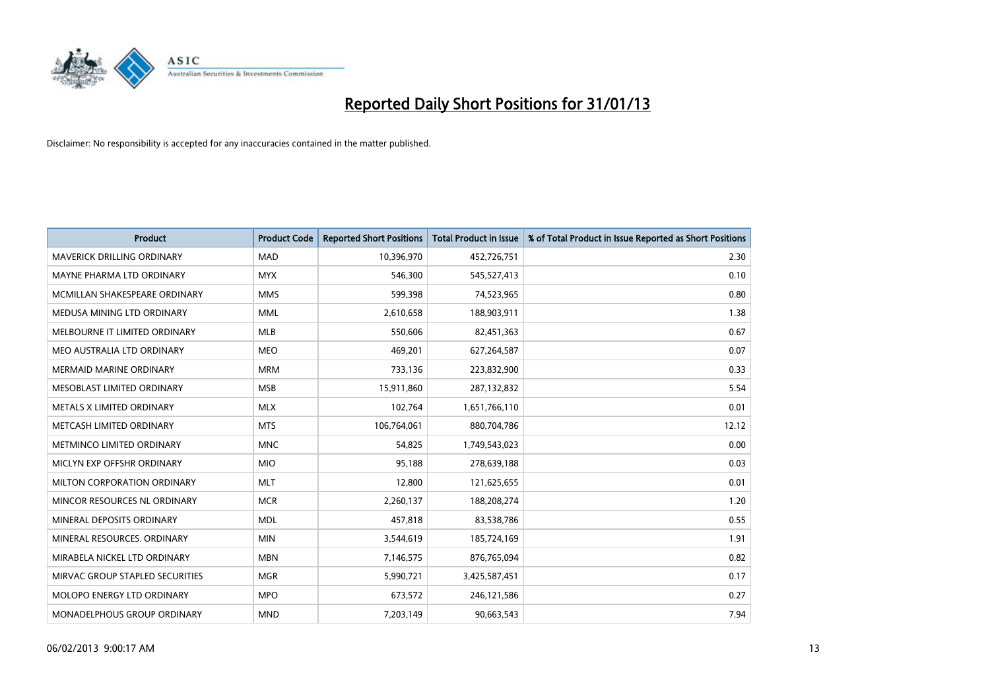

| <b>Product</b>                    | <b>Product Code</b> | <b>Reported Short Positions</b> | <b>Total Product in Issue</b> | % of Total Product in Issue Reported as Short Positions |
|-----------------------------------|---------------------|---------------------------------|-------------------------------|---------------------------------------------------------|
| <b>MAVERICK DRILLING ORDINARY</b> | <b>MAD</b>          | 10,396,970                      | 452,726,751                   | 2.30                                                    |
| MAYNE PHARMA LTD ORDINARY         | <b>MYX</b>          | 546,300                         | 545,527,413                   | 0.10                                                    |
| MCMILLAN SHAKESPEARE ORDINARY     | <b>MMS</b>          | 599,398                         | 74,523,965                    | 0.80                                                    |
| MEDUSA MINING LTD ORDINARY        | <b>MML</b>          | 2,610,658                       | 188,903,911                   | 1.38                                                    |
| MELBOURNE IT LIMITED ORDINARY     | <b>MLB</b>          | 550,606                         | 82,451,363                    | 0.67                                                    |
| MEO AUSTRALIA LTD ORDINARY        | <b>MEO</b>          | 469,201                         | 627,264,587                   | 0.07                                                    |
| <b>MERMAID MARINE ORDINARY</b>    | <b>MRM</b>          | 733,136                         | 223,832,900                   | 0.33                                                    |
| MESOBLAST LIMITED ORDINARY        | <b>MSB</b>          | 15,911,860                      | 287,132,832                   | 5.54                                                    |
| METALS X LIMITED ORDINARY         | <b>MLX</b>          | 102,764                         | 1,651,766,110                 | 0.01                                                    |
| METCASH LIMITED ORDINARY          | <b>MTS</b>          | 106,764,061                     | 880,704,786                   | 12.12                                                   |
| METMINCO LIMITED ORDINARY         | <b>MNC</b>          | 54,825                          | 1,749,543,023                 | 0.00                                                    |
| MICLYN EXP OFFSHR ORDINARY        | <b>MIO</b>          | 95,188                          | 278,639,188                   | 0.03                                                    |
| MILTON CORPORATION ORDINARY       | <b>MLT</b>          | 12,800                          | 121,625,655                   | 0.01                                                    |
| MINCOR RESOURCES NL ORDINARY      | <b>MCR</b>          | 2,260,137                       | 188,208,274                   | 1.20                                                    |
| MINERAL DEPOSITS ORDINARY         | <b>MDL</b>          | 457,818                         | 83,538,786                    | 0.55                                                    |
| MINERAL RESOURCES. ORDINARY       | <b>MIN</b>          | 3,544,619                       | 185,724,169                   | 1.91                                                    |
| MIRABELA NICKEL LTD ORDINARY      | <b>MBN</b>          | 7,146,575                       | 876,765,094                   | 0.82                                                    |
| MIRVAC GROUP STAPLED SECURITIES   | <b>MGR</b>          | 5,990,721                       | 3,425,587,451                 | 0.17                                                    |
| <b>MOLOPO ENERGY LTD ORDINARY</b> | <b>MPO</b>          | 673,572                         | 246,121,586                   | 0.27                                                    |
| MONADELPHOUS GROUP ORDINARY       | <b>MND</b>          | 7,203,149                       | 90,663,543                    | 7.94                                                    |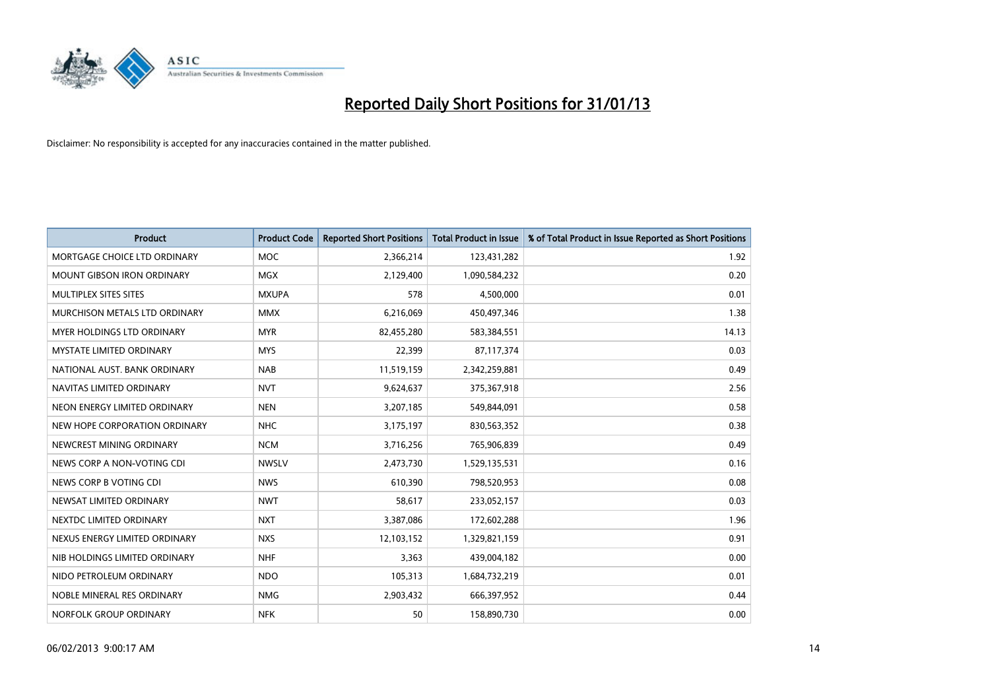

| <b>Product</b>                    | <b>Product Code</b> | <b>Reported Short Positions</b> | <b>Total Product in Issue</b> | % of Total Product in Issue Reported as Short Positions |
|-----------------------------------|---------------------|---------------------------------|-------------------------------|---------------------------------------------------------|
| MORTGAGE CHOICE LTD ORDINARY      | <b>MOC</b>          | 2,366,214                       | 123,431,282                   | 1.92                                                    |
| <b>MOUNT GIBSON IRON ORDINARY</b> | <b>MGX</b>          | 2,129,400                       | 1,090,584,232                 | 0.20                                                    |
| MULTIPLEX SITES SITES             | <b>MXUPA</b>        | 578                             | 4,500,000                     | 0.01                                                    |
| MURCHISON METALS LTD ORDINARY     | <b>MMX</b>          | 6,216,069                       | 450,497,346                   | 1.38                                                    |
| MYER HOLDINGS LTD ORDINARY        | <b>MYR</b>          | 82,455,280                      | 583,384,551                   | 14.13                                                   |
| <b>MYSTATE LIMITED ORDINARY</b>   | <b>MYS</b>          | 22,399                          | 87,117,374                    | 0.03                                                    |
| NATIONAL AUST, BANK ORDINARY      | <b>NAB</b>          | 11,519,159                      | 2,342,259,881                 | 0.49                                                    |
| NAVITAS LIMITED ORDINARY          | <b>NVT</b>          | 9,624,637                       | 375,367,918                   | 2.56                                                    |
| NEON ENERGY LIMITED ORDINARY      | <b>NEN</b>          | 3,207,185                       | 549,844,091                   | 0.58                                                    |
| NEW HOPE CORPORATION ORDINARY     | <b>NHC</b>          | 3,175,197                       | 830,563,352                   | 0.38                                                    |
| NEWCREST MINING ORDINARY          | <b>NCM</b>          | 3,716,256                       | 765,906,839                   | 0.49                                                    |
| NEWS CORP A NON-VOTING CDI        | <b>NWSLV</b>        | 2,473,730                       | 1,529,135,531                 | 0.16                                                    |
| NEWS CORP B VOTING CDI            | <b>NWS</b>          | 610,390                         | 798,520,953                   | 0.08                                                    |
| NEWSAT LIMITED ORDINARY           | <b>NWT</b>          | 58,617                          | 233,052,157                   | 0.03                                                    |
| NEXTDC LIMITED ORDINARY           | <b>NXT</b>          | 3,387,086                       | 172,602,288                   | 1.96                                                    |
| NEXUS ENERGY LIMITED ORDINARY     | <b>NXS</b>          | 12,103,152                      | 1,329,821,159                 | 0.91                                                    |
| NIB HOLDINGS LIMITED ORDINARY     | <b>NHF</b>          | 3,363                           | 439,004,182                   | 0.00                                                    |
| NIDO PETROLEUM ORDINARY           | <b>NDO</b>          | 105,313                         | 1,684,732,219                 | 0.01                                                    |
| NOBLE MINERAL RES ORDINARY        | <b>NMG</b>          | 2,903,432                       | 666,397,952                   | 0.44                                                    |
| NORFOLK GROUP ORDINARY            | <b>NFK</b>          | 50                              | 158,890,730                   | 0.00                                                    |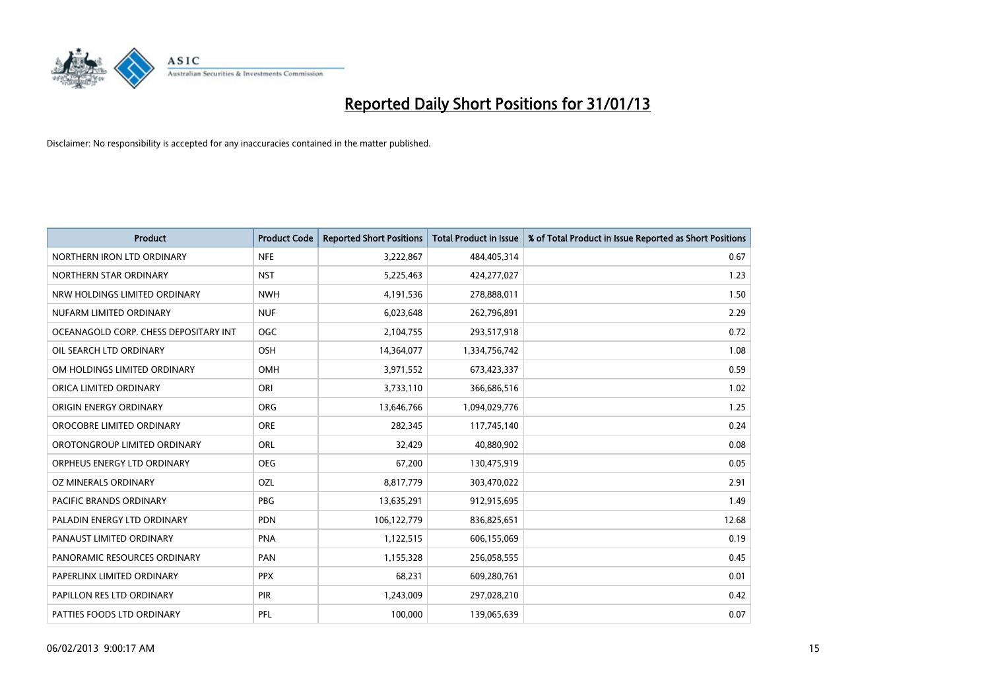

| <b>Product</b>                        | <b>Product Code</b> | <b>Reported Short Positions</b> | <b>Total Product in Issue</b> | % of Total Product in Issue Reported as Short Positions |
|---------------------------------------|---------------------|---------------------------------|-------------------------------|---------------------------------------------------------|
| NORTHERN IRON LTD ORDINARY            | <b>NFE</b>          | 3,222,867                       | 484,405,314                   | 0.67                                                    |
| NORTHERN STAR ORDINARY                | <b>NST</b>          | 5,225,463                       | 424,277,027                   | 1.23                                                    |
| NRW HOLDINGS LIMITED ORDINARY         | <b>NWH</b>          | 4,191,536                       | 278,888,011                   | 1.50                                                    |
| NUFARM LIMITED ORDINARY               | <b>NUF</b>          | 6,023,648                       | 262,796,891                   | 2.29                                                    |
| OCEANAGOLD CORP. CHESS DEPOSITARY INT | <b>OGC</b>          | 2,104,755                       | 293,517,918                   | 0.72                                                    |
| OIL SEARCH LTD ORDINARY               | OSH                 | 14,364,077                      | 1,334,756,742                 | 1.08                                                    |
| OM HOLDINGS LIMITED ORDINARY          | OMH                 | 3,971,552                       | 673,423,337                   | 0.59                                                    |
| ORICA LIMITED ORDINARY                | ORI                 | 3,733,110                       | 366,686,516                   | 1.02                                                    |
| ORIGIN ENERGY ORDINARY                | <b>ORG</b>          | 13,646,766                      | 1,094,029,776                 | 1.25                                                    |
| OROCOBRE LIMITED ORDINARY             | <b>ORE</b>          | 282,345                         | 117,745,140                   | 0.24                                                    |
| OROTONGROUP LIMITED ORDINARY          | <b>ORL</b>          | 32,429                          | 40,880,902                    | 0.08                                                    |
| ORPHEUS ENERGY LTD ORDINARY           | <b>OEG</b>          | 67,200                          | 130,475,919                   | 0.05                                                    |
| OZ MINERALS ORDINARY                  | OZL                 | 8,817,779                       | 303,470,022                   | 2.91                                                    |
| PACIFIC BRANDS ORDINARY               | <b>PBG</b>          | 13,635,291                      | 912,915,695                   | 1.49                                                    |
| PALADIN ENERGY LTD ORDINARY           | <b>PDN</b>          | 106,122,779                     | 836,825,651                   | 12.68                                                   |
| PANAUST LIMITED ORDINARY              | <b>PNA</b>          | 1,122,515                       | 606,155,069                   | 0.19                                                    |
| PANORAMIC RESOURCES ORDINARY          | PAN                 | 1,155,328                       | 256,058,555                   | 0.45                                                    |
| PAPERLINX LIMITED ORDINARY            | <b>PPX</b>          | 68,231                          | 609,280,761                   | 0.01                                                    |
| PAPILLON RES LTD ORDINARY             | PIR                 | 1,243,009                       | 297,028,210                   | 0.42                                                    |
| PATTIES FOODS LTD ORDINARY            | PFL                 | 100,000                         | 139,065,639                   | 0.07                                                    |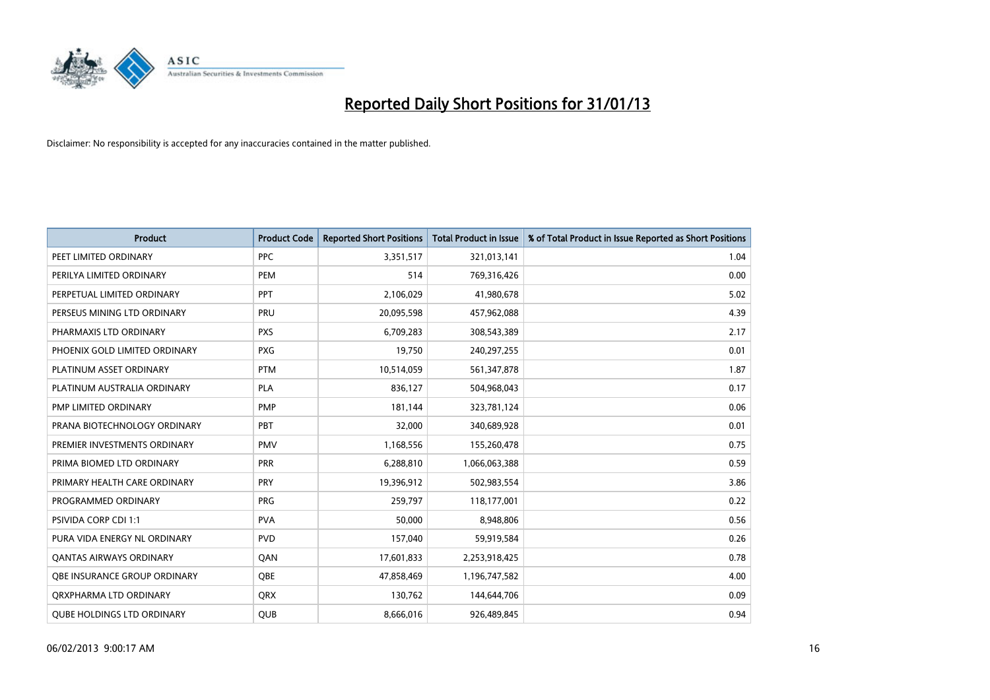

| <b>Product</b>                      | <b>Product Code</b> | <b>Reported Short Positions</b> | <b>Total Product in Issue</b> | % of Total Product in Issue Reported as Short Positions |
|-------------------------------------|---------------------|---------------------------------|-------------------------------|---------------------------------------------------------|
| PEET LIMITED ORDINARY               | <b>PPC</b>          | 3,351,517                       | 321,013,141                   | 1.04                                                    |
| PERILYA LIMITED ORDINARY            | <b>PEM</b>          | 514                             | 769,316,426                   | 0.00                                                    |
| PERPETUAL LIMITED ORDINARY          | PPT                 | 2,106,029                       | 41,980,678                    | 5.02                                                    |
| PERSEUS MINING LTD ORDINARY         | PRU                 | 20,095,598                      | 457,962,088                   | 4.39                                                    |
| PHARMAXIS LTD ORDINARY              | <b>PXS</b>          | 6,709,283                       | 308,543,389                   | 2.17                                                    |
| PHOENIX GOLD LIMITED ORDINARY       | <b>PXG</b>          | 19,750                          | 240,297,255                   | 0.01                                                    |
| PLATINUM ASSET ORDINARY             | <b>PTM</b>          | 10,514,059                      | 561,347,878                   | 1.87                                                    |
| PLATINUM AUSTRALIA ORDINARY         | <b>PLA</b>          | 836,127                         | 504,968,043                   | 0.17                                                    |
| <b>PMP LIMITED ORDINARY</b>         | <b>PMP</b>          | 181,144                         | 323,781,124                   | 0.06                                                    |
| PRANA BIOTECHNOLOGY ORDINARY        | PBT                 | 32,000                          | 340,689,928                   | 0.01                                                    |
| PREMIER INVESTMENTS ORDINARY        | <b>PMV</b>          | 1,168,556                       | 155,260,478                   | 0.75                                                    |
| PRIMA BIOMED LTD ORDINARY           | PRR                 | 6,288,810                       | 1,066,063,388                 | 0.59                                                    |
| PRIMARY HEALTH CARE ORDINARY        | <b>PRY</b>          | 19,396,912                      | 502,983,554                   | 3.86                                                    |
| PROGRAMMED ORDINARY                 | <b>PRG</b>          | 259,797                         | 118,177,001                   | 0.22                                                    |
| PSIVIDA CORP CDI 1:1                | <b>PVA</b>          | 50,000                          | 8,948,806                     | 0.56                                                    |
| PURA VIDA ENERGY NL ORDINARY        | <b>PVD</b>          | 157,040                         | 59,919,584                    | 0.26                                                    |
| <b>QANTAS AIRWAYS ORDINARY</b>      | QAN                 | 17,601,833                      | 2,253,918,425                 | 0.78                                                    |
| <b>OBE INSURANCE GROUP ORDINARY</b> | OBE                 | 47,858,469                      | 1,196,747,582                 | 4.00                                                    |
| ORXPHARMA LTD ORDINARY              | <b>ORX</b>          | 130,762                         | 144,644,706                   | 0.09                                                    |
| <b>QUBE HOLDINGS LTD ORDINARY</b>   | <b>QUB</b>          | 8,666,016                       | 926,489,845                   | 0.94                                                    |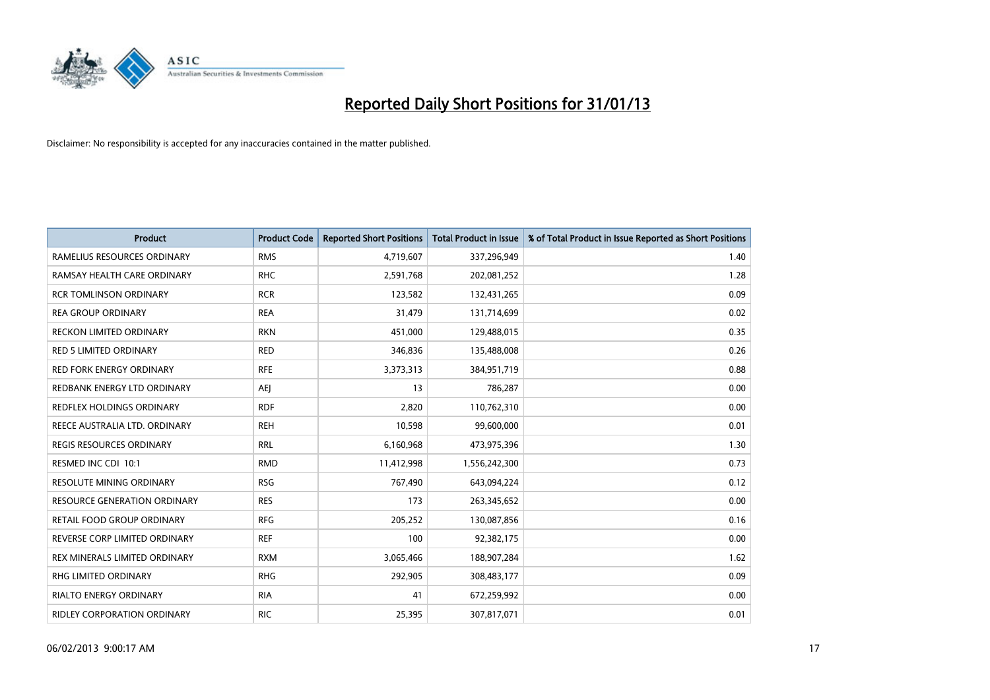

| <b>Product</b>                      | <b>Product Code</b> | <b>Reported Short Positions</b> | <b>Total Product in Issue</b> | % of Total Product in Issue Reported as Short Positions |
|-------------------------------------|---------------------|---------------------------------|-------------------------------|---------------------------------------------------------|
| RAMELIUS RESOURCES ORDINARY         | <b>RMS</b>          | 4,719,607                       | 337,296,949                   | 1.40                                                    |
| RAMSAY HEALTH CARE ORDINARY         | <b>RHC</b>          | 2,591,768                       | 202,081,252                   | 1.28                                                    |
| <b>RCR TOMLINSON ORDINARY</b>       | <b>RCR</b>          | 123,582                         | 132,431,265                   | 0.09                                                    |
| <b>REA GROUP ORDINARY</b>           | <b>REA</b>          | 31,479                          | 131,714,699                   | 0.02                                                    |
| RECKON LIMITED ORDINARY             | <b>RKN</b>          | 451,000                         | 129,488,015                   | 0.35                                                    |
| <b>RED 5 LIMITED ORDINARY</b>       | <b>RED</b>          | 346,836                         | 135,488,008                   | 0.26                                                    |
| <b>RED FORK ENERGY ORDINARY</b>     | <b>RFE</b>          | 3,373,313                       | 384,951,719                   | 0.88                                                    |
| REDBANK ENERGY LTD ORDINARY         | AEJ                 | 13                              | 786,287                       | 0.00                                                    |
| REDFLEX HOLDINGS ORDINARY           | <b>RDF</b>          | 2,820                           | 110,762,310                   | 0.00                                                    |
| REECE AUSTRALIA LTD. ORDINARY       | <b>REH</b>          | 10,598                          | 99,600,000                    | 0.01                                                    |
| REGIS RESOURCES ORDINARY            | <b>RRL</b>          | 6,160,968                       | 473,975,396                   | 1.30                                                    |
| RESMED INC CDI 10:1                 | <b>RMD</b>          | 11,412,998                      | 1,556,242,300                 | 0.73                                                    |
| RESOLUTE MINING ORDINARY            | <b>RSG</b>          | 767,490                         | 643,094,224                   | 0.12                                                    |
| <b>RESOURCE GENERATION ORDINARY</b> | <b>RES</b>          | 173                             | 263,345,652                   | 0.00                                                    |
| RETAIL FOOD GROUP ORDINARY          | <b>RFG</b>          | 205,252                         | 130,087,856                   | 0.16                                                    |
| REVERSE CORP LIMITED ORDINARY       | <b>REF</b>          | 100                             | 92,382,175                    | 0.00                                                    |
| REX MINERALS LIMITED ORDINARY       | <b>RXM</b>          | 3,065,466                       | 188,907,284                   | 1.62                                                    |
| RHG LIMITED ORDINARY                | <b>RHG</b>          | 292,905                         | 308,483,177                   | 0.09                                                    |
| <b>RIALTO ENERGY ORDINARY</b>       | <b>RIA</b>          | 41                              | 672,259,992                   | 0.00                                                    |
| <b>RIDLEY CORPORATION ORDINARY</b>  | <b>RIC</b>          | 25,395                          | 307,817,071                   | 0.01                                                    |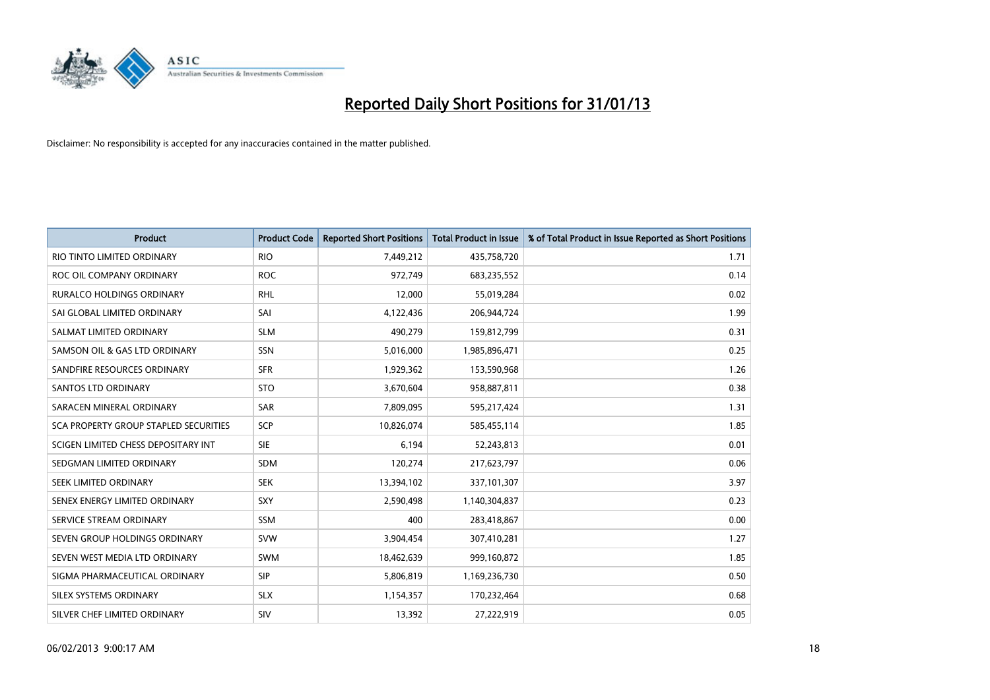

| <b>Product</b>                        | <b>Product Code</b> | <b>Reported Short Positions</b> | <b>Total Product in Issue</b> | % of Total Product in Issue Reported as Short Positions |
|---------------------------------------|---------------------|---------------------------------|-------------------------------|---------------------------------------------------------|
| RIO TINTO LIMITED ORDINARY            | <b>RIO</b>          | 7,449,212                       | 435,758,720                   | 1.71                                                    |
| ROC OIL COMPANY ORDINARY              | <b>ROC</b>          | 972,749                         | 683,235,552                   | 0.14                                                    |
| <b>RURALCO HOLDINGS ORDINARY</b>      | <b>RHL</b>          | 12,000                          | 55,019,284                    | 0.02                                                    |
| SAI GLOBAL LIMITED ORDINARY           | SAI                 | 4,122,436                       | 206,944,724                   | 1.99                                                    |
| SALMAT LIMITED ORDINARY               | <b>SLM</b>          | 490,279                         | 159,812,799                   | 0.31                                                    |
| SAMSON OIL & GAS LTD ORDINARY         | <b>SSN</b>          | 5,016,000                       | 1,985,896,471                 | 0.25                                                    |
| SANDFIRE RESOURCES ORDINARY           | <b>SFR</b>          | 1,929,362                       | 153,590,968                   | 1.26                                                    |
| <b>SANTOS LTD ORDINARY</b>            | <b>STO</b>          | 3,670,604                       | 958,887,811                   | 0.38                                                    |
| SARACEN MINERAL ORDINARY              | <b>SAR</b>          | 7,809,095                       | 595,217,424                   | 1.31                                                    |
| SCA PROPERTY GROUP STAPLED SECURITIES | SCP                 | 10,826,074                      | 585,455,114                   | 1.85                                                    |
| SCIGEN LIMITED CHESS DEPOSITARY INT   | <b>SIE</b>          | 6,194                           | 52,243,813                    | 0.01                                                    |
| SEDGMAN LIMITED ORDINARY              | <b>SDM</b>          | 120,274                         | 217,623,797                   | 0.06                                                    |
| SEEK LIMITED ORDINARY                 | <b>SEK</b>          | 13,394,102                      | 337,101,307                   | 3.97                                                    |
| SENEX ENERGY LIMITED ORDINARY         | <b>SXY</b>          | 2,590,498                       | 1,140,304,837                 | 0.23                                                    |
| SERVICE STREAM ORDINARY               | SSM                 | 400                             | 283,418,867                   | 0.00                                                    |
| SEVEN GROUP HOLDINGS ORDINARY         | <b>SVW</b>          | 3,904,454                       | 307,410,281                   | 1.27                                                    |
| SEVEN WEST MEDIA LTD ORDINARY         | <b>SWM</b>          | 18,462,639                      | 999,160,872                   | 1.85                                                    |
| SIGMA PHARMACEUTICAL ORDINARY         | <b>SIP</b>          | 5,806,819                       | 1,169,236,730                 | 0.50                                                    |
| SILEX SYSTEMS ORDINARY                | <b>SLX</b>          | 1,154,357                       | 170,232,464                   | 0.68                                                    |
| SILVER CHEF LIMITED ORDINARY          | SIV                 | 13,392                          | 27,222,919                    | 0.05                                                    |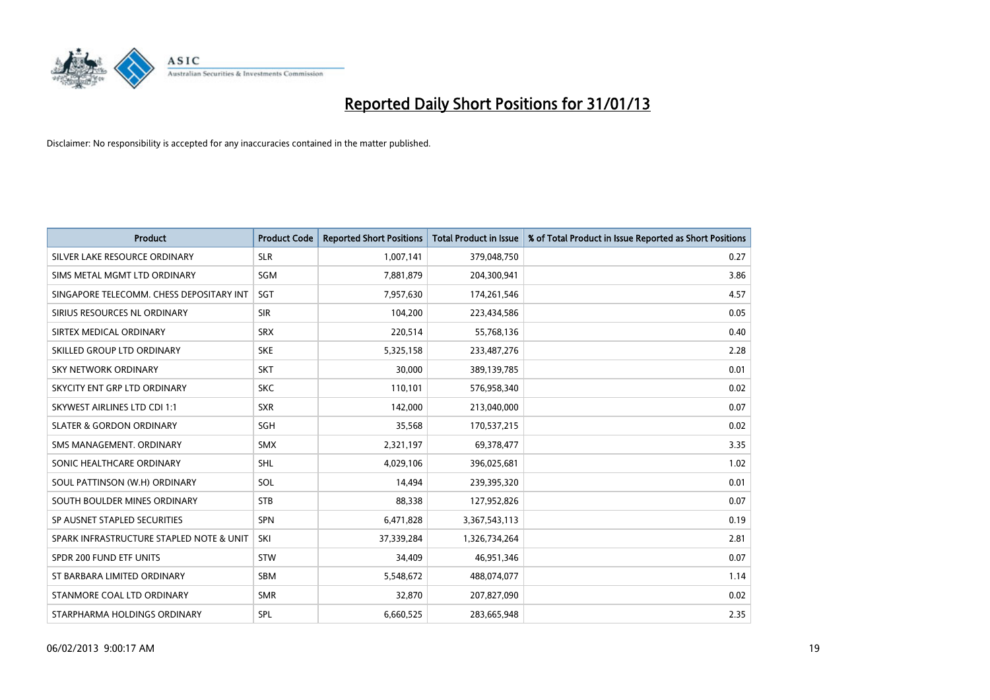

| <b>Product</b>                           | <b>Product Code</b> | <b>Reported Short Positions</b> | <b>Total Product in Issue</b> | % of Total Product in Issue Reported as Short Positions |
|------------------------------------------|---------------------|---------------------------------|-------------------------------|---------------------------------------------------------|
| SILVER LAKE RESOURCE ORDINARY            | <b>SLR</b>          | 1,007,141                       | 379,048,750                   | 0.27                                                    |
| SIMS METAL MGMT LTD ORDINARY             | <b>SGM</b>          | 7,881,879                       | 204,300,941                   | 3.86                                                    |
| SINGAPORE TELECOMM. CHESS DEPOSITARY INT | <b>SGT</b>          | 7,957,630                       | 174,261,546                   | 4.57                                                    |
| SIRIUS RESOURCES NL ORDINARY             | <b>SIR</b>          | 104,200                         | 223,434,586                   | 0.05                                                    |
| SIRTEX MEDICAL ORDINARY                  | <b>SRX</b>          | 220,514                         | 55,768,136                    | 0.40                                                    |
| SKILLED GROUP LTD ORDINARY               | <b>SKE</b>          | 5,325,158                       | 233,487,276                   | 2.28                                                    |
| SKY NETWORK ORDINARY                     | <b>SKT</b>          | 30,000                          | 389,139,785                   | 0.01                                                    |
| SKYCITY ENT GRP LTD ORDINARY             | <b>SKC</b>          | 110,101                         | 576,958,340                   | 0.02                                                    |
| <b>SKYWEST AIRLINES LTD CDI 1:1</b>      | <b>SXR</b>          | 142,000                         | 213,040,000                   | 0.07                                                    |
| <b>SLATER &amp; GORDON ORDINARY</b>      | <b>SGH</b>          | 35,568                          | 170,537,215                   | 0.02                                                    |
| SMS MANAGEMENT. ORDINARY                 | <b>SMX</b>          | 2,321,197                       | 69,378,477                    | 3.35                                                    |
| SONIC HEALTHCARE ORDINARY                | <b>SHL</b>          | 4,029,106                       | 396,025,681                   | 1.02                                                    |
| SOUL PATTINSON (W.H) ORDINARY            | SOL                 | 14,494                          | 239,395,320                   | 0.01                                                    |
| SOUTH BOULDER MINES ORDINARY             | <b>STB</b>          | 88,338                          | 127,952,826                   | 0.07                                                    |
| SP AUSNET STAPLED SECURITIES             | <b>SPN</b>          | 6,471,828                       | 3,367,543,113                 | 0.19                                                    |
| SPARK INFRASTRUCTURE STAPLED NOTE & UNIT | SKI                 | 37,339,284                      | 1,326,734,264                 | 2.81                                                    |
| SPDR 200 FUND ETF UNITS                  | <b>STW</b>          | 34,409                          | 46,951,346                    | 0.07                                                    |
| ST BARBARA LIMITED ORDINARY              | <b>SBM</b>          | 5,548,672                       | 488,074,077                   | 1.14                                                    |
| STANMORE COAL LTD ORDINARY               | <b>SMR</b>          | 32,870                          | 207,827,090                   | 0.02                                                    |
| STARPHARMA HOLDINGS ORDINARY             | SPL                 | 6,660,525                       | 283,665,948                   | 2.35                                                    |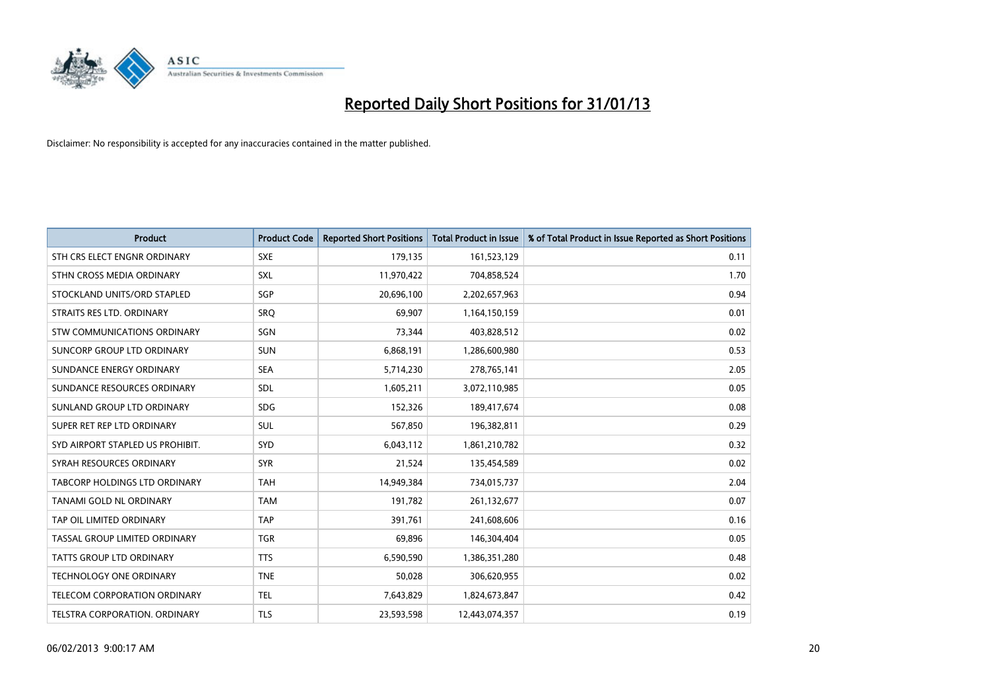

| <b>Product</b>                      | <b>Product Code</b> | <b>Reported Short Positions</b> | <b>Total Product in Issue</b> | % of Total Product in Issue Reported as Short Positions |
|-------------------------------------|---------------------|---------------------------------|-------------------------------|---------------------------------------------------------|
| STH CRS ELECT ENGNR ORDINARY        | <b>SXE</b>          | 179,135                         | 161,523,129                   | 0.11                                                    |
| STHN CROSS MEDIA ORDINARY           | <b>SXL</b>          | 11,970,422                      | 704,858,524                   | 1.70                                                    |
| STOCKLAND UNITS/ORD STAPLED         | <b>SGP</b>          | 20,696,100                      | 2,202,657,963                 | 0.94                                                    |
| STRAITS RES LTD. ORDINARY           | SRO                 | 69,907                          | 1,164,150,159                 | 0.01                                                    |
| <b>STW COMMUNICATIONS ORDINARY</b>  | SGN                 | 73,344                          | 403,828,512                   | 0.02                                                    |
| SUNCORP GROUP LTD ORDINARY          | <b>SUN</b>          | 6,868,191                       | 1,286,600,980                 | 0.53                                                    |
| SUNDANCE ENERGY ORDINARY            | <b>SEA</b>          | 5,714,230                       | 278,765,141                   | 2.05                                                    |
| SUNDANCE RESOURCES ORDINARY         | <b>SDL</b>          | 1,605,211                       | 3,072,110,985                 | 0.05                                                    |
| SUNLAND GROUP LTD ORDINARY          | <b>SDG</b>          | 152,326                         | 189,417,674                   | 0.08                                                    |
| SUPER RET REP LTD ORDINARY          | <b>SUL</b>          | 567,850                         | 196,382,811                   | 0.29                                                    |
| SYD AIRPORT STAPLED US PROHIBIT.    | <b>SYD</b>          | 6,043,112                       | 1,861,210,782                 | 0.32                                                    |
| SYRAH RESOURCES ORDINARY            | <b>SYR</b>          | 21,524                          | 135,454,589                   | 0.02                                                    |
| TABCORP HOLDINGS LTD ORDINARY       | <b>TAH</b>          | 14,949,384                      | 734,015,737                   | 2.04                                                    |
| <b>TANAMI GOLD NL ORDINARY</b>      | <b>TAM</b>          | 191.782                         | 261,132,677                   | 0.07                                                    |
| TAP OIL LIMITED ORDINARY            | <b>TAP</b>          | 391,761                         | 241,608,606                   | 0.16                                                    |
| TASSAL GROUP LIMITED ORDINARY       | <b>TGR</b>          | 69,896                          | 146,304,404                   | 0.05                                                    |
| <b>TATTS GROUP LTD ORDINARY</b>     | <b>TTS</b>          | 6,590,590                       | 1,386,351,280                 | 0.48                                                    |
| TECHNOLOGY ONE ORDINARY             | <b>TNE</b>          | 50,028                          | 306,620,955                   | 0.02                                                    |
| <b>TELECOM CORPORATION ORDINARY</b> | <b>TEL</b>          | 7,643,829                       | 1,824,673,847                 | 0.42                                                    |
| TELSTRA CORPORATION, ORDINARY       | <b>TLS</b>          | 23,593,598                      | 12,443,074,357                | 0.19                                                    |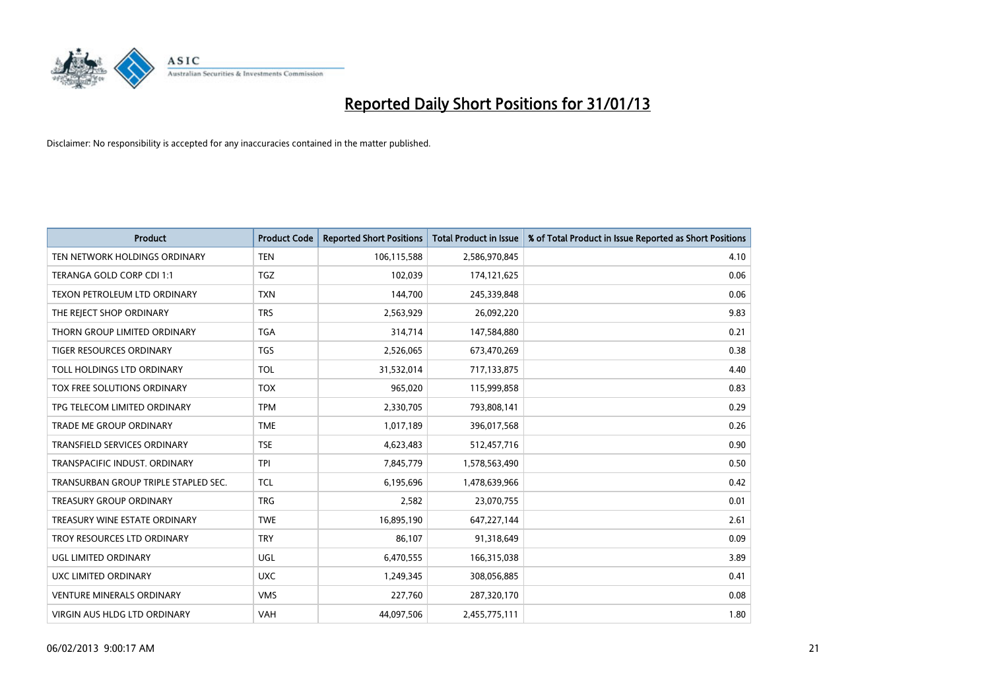

| <b>Product</b>                       | <b>Product Code</b> | <b>Reported Short Positions</b> | <b>Total Product in Issue</b> | % of Total Product in Issue Reported as Short Positions |
|--------------------------------------|---------------------|---------------------------------|-------------------------------|---------------------------------------------------------|
| TEN NETWORK HOLDINGS ORDINARY        | <b>TEN</b>          | 106,115,588                     | 2,586,970,845                 | 4.10                                                    |
| TERANGA GOLD CORP CDI 1:1            | <b>TGZ</b>          | 102,039                         | 174,121,625                   | 0.06                                                    |
| <b>TEXON PETROLEUM LTD ORDINARY</b>  | <b>TXN</b>          | 144,700                         | 245,339,848                   | 0.06                                                    |
| THE REJECT SHOP ORDINARY             | <b>TRS</b>          | 2,563,929                       | 26,092,220                    | 9.83                                                    |
| THORN GROUP LIMITED ORDINARY         | <b>TGA</b>          | 314,714                         | 147,584,880                   | 0.21                                                    |
| <b>TIGER RESOURCES ORDINARY</b>      | <b>TGS</b>          | 2,526,065                       | 673,470,269                   | 0.38                                                    |
| TOLL HOLDINGS LTD ORDINARY           | <b>TOL</b>          | 31,532,014                      | 717,133,875                   | 4.40                                                    |
| TOX FREE SOLUTIONS ORDINARY          | <b>TOX</b>          | 965,020                         | 115,999,858                   | 0.83                                                    |
| TPG TELECOM LIMITED ORDINARY         | <b>TPM</b>          | 2,330,705                       | 793,808,141                   | 0.29                                                    |
| <b>TRADE ME GROUP ORDINARY</b>       | <b>TME</b>          | 1,017,189                       | 396,017,568                   | 0.26                                                    |
| TRANSFIELD SERVICES ORDINARY         | <b>TSE</b>          | 4,623,483                       | 512,457,716                   | 0.90                                                    |
| TRANSPACIFIC INDUST. ORDINARY        | <b>TPI</b>          | 7,845,779                       | 1,578,563,490                 | 0.50                                                    |
| TRANSURBAN GROUP TRIPLE STAPLED SEC. | <b>TCL</b>          | 6,195,696                       | 1,478,639,966                 | 0.42                                                    |
| <b>TREASURY GROUP ORDINARY</b>       | <b>TRG</b>          | 2,582                           | 23,070,755                    | 0.01                                                    |
| TREASURY WINE ESTATE ORDINARY        | <b>TWE</b>          | 16,895,190                      | 647,227,144                   | 2.61                                                    |
| TROY RESOURCES LTD ORDINARY          | <b>TRY</b>          | 86,107                          | 91,318,649                    | 0.09                                                    |
| UGL LIMITED ORDINARY                 | UGL                 | 6,470,555                       | 166,315,038                   | 3.89                                                    |
| UXC LIMITED ORDINARY                 | <b>UXC</b>          | 1,249,345                       | 308,056,885                   | 0.41                                                    |
| <b>VENTURE MINERALS ORDINARY</b>     | <b>VMS</b>          | 227,760                         | 287,320,170                   | 0.08                                                    |
| VIRGIN AUS HLDG LTD ORDINARY         | VAH                 | 44,097,506                      | 2,455,775,111                 | 1.80                                                    |